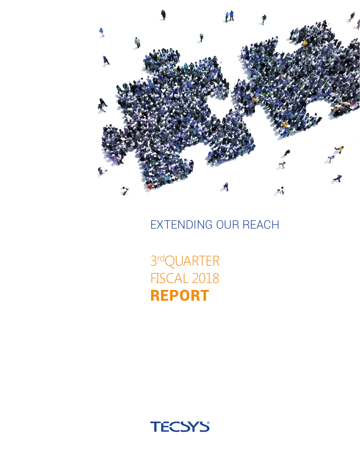

EXTENDING OUR REACH

3 rdQUARTER FISCAL 2018 REPORT

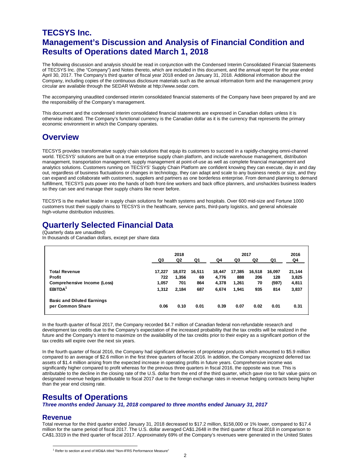### **TECSYS Inc. Management's Discussion and Analysis of Financial Condition and Results of Operations dated March 1, 2018**

The following discussion and analysis should be read in conjunction with the Condensed Interim Consolidated Financial Statements of TECSYS Inc. (the "Company") and Notes thereto, which are included in this document, and the annual report for the year ended April 30, 2017. The Company's third quarter of fiscal year 2018 ended on January 31, 2018. Additional information about the Company, including copies of the continuous disclosure materials such as the annual information form and the management proxy circular are available through the SEDAR Website at http://www.sedar.com.

The accompanying unaudited condensed interim consolidated financial statements of the Company have been prepared by and are the responsibility of the Company's management.

This document and the condensed interim consolidated financial statements are expressed in Canadian dollars unless it is otherwise indicated. The Company's functional currency is the Canadian dollar as it is the currency that represents the primary economic environment in which the Company operates.

### **Overview**

TECSYS provides transformative supply chain solutions that equip its customers to succeed in a rapidly-changing omni-channel world. TECSYS' solutions are built on a true enterprise supply chain platform, and include warehouse management, distribution management, transportation management, supply management at point-of-use as well as complete financial management and analytics solutions. Customers running on TECSYS' Supply Chain Platform are confident knowing they can execute, day in and day out, regardless of business fluctuations or changes in technology, they can adapt and scale to any business needs or size, and they can expand and collaborate with customers, suppliers and partners as one borderless enterprise. From demand planning to demand fulfillment, TECSYS puts power into the hands of both front-line workers and back office planners, and unshackles business leaders so they can see and manage their supply chains like never before.

TECSYS is the market leader in supply chain solutions for health systems and hospitals. Over 600 mid-size and Fortune 1000 customers trust their supply chains to TECSYS in the healthcare, service parts, third-party logistics, and general wholesale high-volume distribution industries.

### **Quarterly Selected Financial Data**

(Quarterly data are unaudited) In thousands of Canadian dollars, except per share data

|                                    | 2018   |        |        | 2017   |        |        |        | 2016   |
|------------------------------------|--------|--------|--------|--------|--------|--------|--------|--------|
|                                    | Q3     | Q2     | Q1     | Q4     | Q3     | Q2     | Q1     | Q4     |
| <b>Total Revenue</b>               | 17,227 | 18,072 | 16,511 | 18,447 | 17,385 | 16,518 | 16,097 | 21,144 |
| <b>Profit</b>                      | 722    | 1.356  | 69     | 4,776  | 888    | 206    | 128    | 3,825  |
| <b>Comprehensive Income (Loss)</b> | 1,057  | 701    | 864    | 4,378  | 1,261  | 70     | (597)  | 4,811  |
| EBITDA <sup>1</sup>                | 1.312  | 2.184  | 687    | 6,674  | 1,941  | 935    | 814    | 3,837  |
| <b>Basic and Diluted Earnings</b>  |        |        |        |        |        |        |        |        |
| per Common Share                   | 0.06   | 0.10   | 0.01   | 0.39   | 0.07   | 0.02   | 0.01   | 0.31   |

In the fourth quarter of fiscal 2017, the Company recorded \$4.7 million of Canadian federal non-refundable research and development tax credits due to the Company's expectation of the increased probability that the tax credits will be realized in the future and the Company's intent to maximize on the availability of the tax credits prior to their expiry as a significant portion of the tax credits will expire over the next six years.

In the fourth quarter of fiscal 2016, the Company had significant deliveries of proprietary products which amounted to \$5.9 million compared to an average of \$2.6 million in the first three quarters of fiscal 2016. In addition, the Company recognized deferred tax assets of \$1.4 million arising from the expected increase in operating profits in future years. Comprehensive income was significantly higher compared to profit whereas for the previous three quarters in fiscal 2016, the opposite was true. This is attributable to the decline in the closing rate of the U.S. dollar from the end of the third quarter, which gave rise to fair value gains on designated revenue hedges attributable to fiscal 2017 due to the foreign exchange rates in revenue hedging contracts being higher than the year end closing rate.

### **Results of Operations**

*Three months ended January 31, 2018 compared to three months ended January 31, 2017*

### **Revenue**

Total revenue for the third quarter ended January 31, 2018 decreased to \$17.2 million, \$158,000 or 1% lower, compared to \$17.4 million for the same period of fiscal 2017. The U.S. dollar averaged CA\$1.2648 in the third quarter of fiscal 2018 in comparison to CA\$1.3319 in the third quarter of fiscal 2017. Approximately 69% of the Company's revenues were generated in the United States

<sup>&</sup>lt;sup>1</sup> Refer to section at end of MD&A titled "Non-IFRS Performance Measure"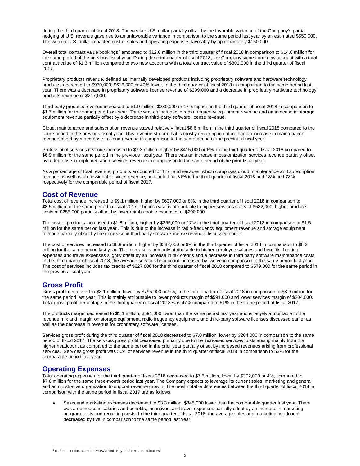during the third quarter of fiscal 2018. The weaker U.S. dollar partially offset by the favorable variance of the Company's partial hedging of U.S. revenue gave rise to an unfavorable variance in comparison to the same period last year by an estimated \$550,000. The weaker U.S. dollar impacted cost of sales and operating expenses favorably by approximately \$150,000.

Overall total contract value bookings<sup>2</sup> amounted to \$12.0 million in the third quarter of fiscal 2018 in comparison to \$14.6 million for the same period of the previous fiscal year. During the third quarter of fiscal 2018, the Company signed one new account with a total contract value of \$1.3 million compared to two new accounts with a total contract value of \$801,000 in the third quarter of fiscal 2017.

Proprietary products revenue, defined as internally developed products including proprietary software and hardware technology products, decreased to \$930,000, \$616,000 or 40% lower, in the third quarter of fiscal 2018 in comparison to the same period last year. There was a decrease in proprietary software license revenue of \$399,000 and a decrease in proprietary hardware technology products revenue of \$217,000.

Third party products revenue increased to \$1.9 million, \$280,000 or 17% higher, in the third quarter of fiscal 2018 in comparison to \$1.7 million for the same period last year. There was an increase in radio-frequency equipment revenue and an increase in storage equipment revenue partially offset by a decrease in third-party software license revenue.

Cloud, maintenance and subscription revenue stayed relatively flat at \$6.6 million in the third quarter of fiscal 2018 compared to the same period in the previous fiscal year. This revenue stream that is mostly recurring in nature had an increase in maintenance revenue offset by a decrease in cloud revenue in comparison to the same period of the previous fiscal year.

Professional services revenue increased to \$7.3 million, higher by \$415,000 or 6%, in the third quarter of fiscal 2018 compared to \$6.9 million for the same period in the previous fiscal year. There was an increase in customization services revenue partially offset by a decrease in implementation services revenue in comparison to the same period of the prior fiscal year.

As a percentage of total revenue, products accounted for 17% and services, which comprises cloud, maintenance and subscription revenue as well as professional services revenue, accounted for 81% in the third quarter of fiscal 2018 and 18% and 78% respectively for the comparable period of fiscal 2017.

### **Cost of Revenue**

Total cost of revenue increased to \$9.1 million, higher by \$637,000 or 8%, in the third quarter of fiscal 2018 in comparison to \$8.5 million for the same period in fiscal 2017. The increase is attributable to higher services costs of \$582,000, higher products costs of \$255,000 partially offset by lower reimbursable expenses of \$200,000.

The cost of products increased to \$1.8 million, higher by \$255,000 or 17% in the third quarter of fiscal 2018 in comparison to \$1.5 million for the same period last year . This is due to the increase in radio-frequency equipment revenue and storage equipment revenue partially offset by the decrease in third-party software license revenue discussed earlier.

The cost of services increased to \$6.9 million, higher by \$582,000 or 9% in the third quarter of fiscal 2018 in comparison to \$6.3 million for the same period last year. The increase is primarily attributable to higher employee salaries and benefits, hosting expenses and travel expenses slightly offset by an increase in tax credits and a decrease in third party software maintenance costs. In the third quarter of fiscal 2018, the average services headcount increased by twelve in comparison to the same period last year. The cost of services includes tax credits of \$627,000 for the third quarter of fiscal 2018 compared to \$579,000 for the same period in the previous fiscal year.

### **Gross Profit**

Gross profit decreased to \$8.1 million, lower by \$795,000 or 9%, in the third quarter of fiscal 2018 in comparison to \$8.9 million for the same period last year. This is mainly attributable to lower products margin of \$591,000 and lower services margin of \$204,000. Total gross profit percentage in the third quarter of fiscal 2018 was 47% compared to 51% in the same period of fiscal 2017.

The products margin decreased to \$1.1 million, \$591,000 lower than the same period last year and is largely attributable to the revenue mix and margin on storage equipment, radio frequency equipment, and third-party software licenses discussed earlier as well as the decrease in revenue for proprietary software licenses.

Services gross profit during the third quarter of fiscal 2018 decreased to \$7.0 million, lower by \$204,000 in comparison to the same period of fiscal 2017. The services gross profit decreased primarily due to the increased services costs arising mainly from the higher headcount as compared to the same period in the prior year partially offset by increased revenues arising from professional services. Services gross profit was 50% of services revenue in the third quarter of fiscal 2018 in comparison to 53% for the comparable period last year.

### **Operating Expenses**

Total operating expenses for the third quarter of fiscal 2018 decreased to \$7.3 million, lower by \$302,000 or 4%, compared to \$7.6 million for the same three-month period last year. The Company expects to leverage its current sales, marketing and general and administrative organization to support revenue growth. The most notable differences between the third quarter of fiscal 2018 in comparison with the same period in fiscal 2017 are as follows.

• Sales and marketing expenses decreased to \$3.3 million, \$345,000 lower than the comparable quarter last year. There was a decrease in salaries and benefits, incentives, and travel expenses partially offset by an increase in marketing program costs and recruiting costs. In the third quarter of fiscal 2018, the average sales and marketing headcount decreased by five in comparison to the same period last year.

<sup>&</sup>lt;sup>2</sup> Refer to section at end of MD&A titled "Key Performance Indicators"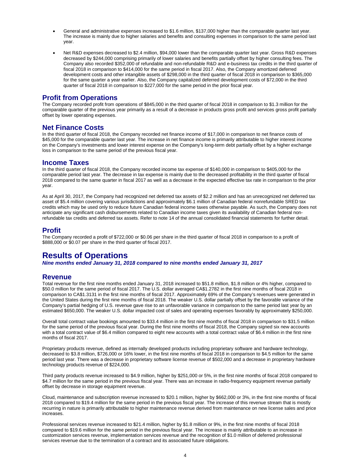- General and administrative expenses increased to \$1.6 million, \$137,000 higher than the comparable quarter last year. The increase is mainly due to higher salaries and benefits and consulting expenses in comparison to the same period last year.
- Net R&D expenses decreased to \$2.4 million, \$94,000 lower than the comparable quarter last year. Gross R&D expenses decreased by \$244,000 comprising primarily of lower salaries and benefits partially offset by higher consulting fees. The Company also recorded \$352,000 of refundable and non-refundable R&D and e-business tax credits in the third quarter of fiscal 2018 in comparison to \$414,000 for the same period in fiscal 2017. Also, the Company amortized deferred development costs and other intangible assets of \$298,000 in the third quarter of fiscal 2018 in comparison to \$365,000 for the same quarter a year earlier. Also, the Company capitalized deferred development costs of \$72,000 in the third quarter of fiscal 2018 in comparison to \$227,000 for the same period in the prior fiscal year.

### **Profit from Operations**

The Company recorded profit from operations of \$845,000 in the third quarter of fiscal 2018 in comparison to \$1.3 million for the comparable quarter of the previous year primarily as a result of a decrease in products gross profit and services gross profit partially offset by lower operating expenses.

### **Net Finance Costs**

In the third quarter of fiscal 2018, the Company recorded net finance income of \$17,000 in comparison to net finance costs of \$45,000 for the comparable quarter last year. The increase in net finance income is primarily attributable to higher interest income on the Company's investments and lower interest expense on the Company's long-term debt partially offset by a higher exchange loss in comparison to the same period of the previous fiscal year.

### **Income Taxes**

In the third quarter of fiscal 2018, the Company recorded income tax expense of \$140,000 in comparison to \$405,000 for the comparable period last year. The decrease in tax expense is mainly due to the decreased profitability in the third quarter of fiscal 2018 compared to the same quarter in fiscal 2017 as well as a decrease in the expected effective tax rate in comparison to the prior year.

As at April 30, 2017, the Company had recognized net deferred tax assets of \$2.2 million and has an unrecognized net deferred tax asset of \$5.4 million covering various jurisdictions and approximately \$6.1 million of Canadian federal nonrefundable SRED tax credits which may be used only to reduce future Canadian federal income taxes otherwise payable. As such, the Company does not anticipate any significant cash disbursements related to Canadian income taxes given its availability of Canadian federal nonrefundable tax credits and deferred tax assets. Refer to note 14 of the annual consolidated financial statements for further detail.

### **Profit**

The Company recorded a profit of \$722,000 or \$0.06 per share in the third quarter of fiscal 2018 in comparison to a profit of \$888,000 or \$0.07 per share in the third quarter of fiscal 2017.

## **Results of Operations**

*Nine months ended January 31, 2018 compared to nine months ended January 31, 2017*

### **Revenue**

Total revenue for the first nine months ended January 31, 2018 increased to \$51.8 million, \$1.8 million or 4% higher, compared to \$50.0 million for the same period of fiscal 2017. The U.S. dollar averaged CA\$1.2782 in the first nine months of fiscal 2018 in comparison to CA\$1.3131 in the first nine months of fiscal 2017. Approximately 69% of the Company's revenues were generated in the United States during the first nine months of fiscal 2018. The weaker U.S. dollar partially offset by the favorable variance of the Company's partial hedging of U.S. revenue gave rise to an unfavorable variance in comparison to the same period last year by an estimated \$650,000. The weaker U.S. dollar impacted cost of sales and operating expenses favorably by approximately \$250,000.

Overall total contract value bookings amounted to \$33.4 million in the first nine months of fiscal 2018 in comparison to \$31.5 million for the same period of the previous fiscal year. During the first nine months of fiscal 2018, the Company signed six new accounts with a total contract value of \$6.4 million compared to eight new accounts with a total contract value of \$6.4 million in the first nine months of fiscal 2017.

Proprietary products revenue, defined as internally developed products including proprietary software and hardware technology, decreased to \$3.8 million, \$726,000 or 16% lower, in the first nine months of fiscal 2018 in comparison to \$4.5 million for the same period last year. There was a decrease in proprietary software license revenue of \$502,000 and a decrease in proprietary hardware technology products revenue of \$224,000.

Third party products revenue increased to \$4.9 million, higher by \$251,000 or 5%, in the first nine months of fiscal 2018 compared to \$4.7 million for the same period in the previous fiscal year. There was an increase in radio-frequency equipment revenue partially offset by decrease in storage equipment revenue.

Cloud, maintenance and subscription revenue increased to \$20.1 million, higher by \$662,000 or 3%, in the first nine months of fiscal 2018 compared to \$19.4 million for the same period in the previous fiscal year. The increase of this revenue stream that is mostly recurring in nature is primarily attributable to higher maintenance revenue derived from maintenance on new license sales and price increases.

Professional services revenue increased to \$21.4 million, higher by \$1.8 million or 9%, in the first nine months of fiscal 2018 compared to \$19.6 million for the same period in the previous fiscal year. The increase is mainly attributable to an increase in customization services revenue, implementation services revenue and the recognition of \$1.0 million of deferred professional services revenue due to the termination of a contract and its associated future obligations.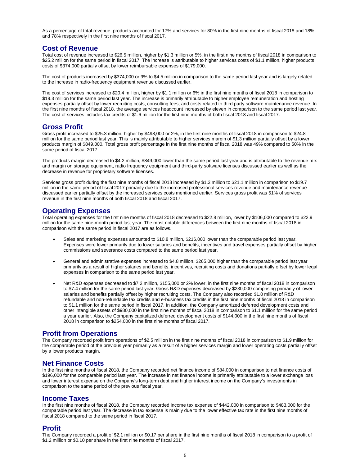As a percentage of total revenue, products accounted for 17% and services for 80% in the first nine months of fiscal 2018 and 18% and 78% respectively in the first nine months of fiscal 2017.

### **Cost of Revenue**

Total cost of revenue increased to \$26.5 million, higher by \$1.3 million or 5%, in the first nine months of fiscal 2018 in comparison to \$25.2 million for the same period in fiscal 2017. The increase is attributable to higher services costs of \$1.1 million, higher products costs of \$374,000 partially offset by lower reimbursable expenses of \$179,000.

The cost of products increased by \$374,000 or 9% to \$4.5 million in comparison to the same period last year and is largely related to the increase in radio-frequency equipment revenue discussed earlier.

The cost of services increased to \$20.4 million, higher by \$1.1 million or 6% in the first nine months of fiscal 2018 in comparison to \$19.3 million for the same period last year. The increase is primarily attributable to higher employee remuneration and hosting expenses partially offset by lower recruiting costs, consulting fees, and costs related to third party software maintenance revenue. In the first nine months of fiscal 2018, the average services headcount increased by eleven in comparison to the same period last year. The cost of services includes tax credits of \$1.6 million for the first nine months of both fiscal 2018 and fiscal 2017.

### **Gross Profit**

Gross profit increased to \$25.3 million, higher by \$498,000 or 2%, in the first nine months of fiscal 2018 in comparison to \$24.8 million for the same period last year. This is mainly attributable to higher services margin of \$1.3 million partially offset by a lower products margin of \$849,000. Total gross profit percentage in the first nine months of fiscal 2018 was 49% compared to 50% in the same period of fiscal 2017.

The products margin decreased to \$4.2 million, \$849,000 lower than the same period last year and is attributable to the revenue mix and margin on storage equipment, radio frequency equipment and third-party software licenses discussed earlier as well as the decrease in revenue for proprietary software licenses.

Services gross profit during the first nine months of fiscal 2018 increased by \$1.3 million to \$21.1 million in comparison to \$19.7 million in the same period of fiscal 2017 primarily due to the increased professional services revenue and maintenance revenue discussed earlier partially offset by the increased services costs mentioned earlier. Services gross profit was 51% of services revenue in the first nine months of both fiscal 2018 and fiscal 2017.

### **Operating Expenses**

Total operating expenses for the first nine months of fiscal 2018 decreased to \$22.8 million, lower by \$106,000 compared to \$22.9 million for the same nine-month period last year. The most notable differences between the first nine months of fiscal 2018 in comparison with the same period in fiscal 2017 are as follows.

- Sales and marketing expenses amounted to \$10.8 million, \$216,000 lower than the comparable period last year. Expenses were lower primarily due to lower salaries and benefits, incentives and travel expenses partially offset by higher commissions and severance costs compared to the same period last year.
- General and administrative expenses increased to \$4.8 million, \$265,000 higher than the comparable period last year primarily as a result of higher salaries and benefits, incentives, recruiting costs and donations partially offset by lower legal expenses in comparison to the same period last year.
- Net R&D expenses decreased to \$7.2 million, \$155,000 or 2% lower, in the first nine months of fiscal 2018 in comparison to \$7.4 million for the same period last year. Gross R&D expenses decreased by \$230,000 comprising primarily of lower salaries and benefits partially offset by higher recruiting costs. The Company also recorded \$1.0 million of R&D refundable and non-refundable tax credits and e-business tax credits in the first nine months of fiscal 2018 in comparison to \$1.1 million for the same period in fiscal 2017. In addition, the Company amortized deferred development costs and other intangible assets of \$980,000 in the first nine months of fiscal 2018 in comparison to \$1.1 million for the same period a year earlier. Also, the Company capitalized deferred development costs of \$144,000 in the first nine months of fiscal 2018 in comparison to \$254,000 in the first nine months of fiscal 2017.

### **Profit from Operations**

The Company recorded profit from operations of \$2.5 million in the first nine months of fiscal 2018 in comparison to \$1.9 million for the comparable period of the previous year primarily as a result of a higher services margin and lower operating costs partially offset by a lower products margin.

### **Net Finance Costs**

In the first nine months of fiscal 2018, the Company recorded net finance income of \$84,000 in comparison to net finance costs of \$196,000 for the comparable period last year. The increase in net finance income is primarily attributable to a lower exchange loss and lower interest expense on the Company's long-term debt and higher interest income on the Company's investments in comparison to the same period of the previous fiscal year.

#### **Income Taxes**

In the first nine months of fiscal 2018, the Company recorded income tax expense of \$442,000 in comparison to \$483,000 for the comparable period last year. The decrease in tax expense is mainly due to the lower effective tax rate in the first nine months of fiscal 2018 compared to the same period in fiscal 2017.

#### **Profit**

The Company recorded a profit of \$2.1 million or \$0.17 per share in the first nine months of fiscal 2018 in comparison to a profit of \$1.2 million or \$0.10 per share in the first nine months of fiscal 2017.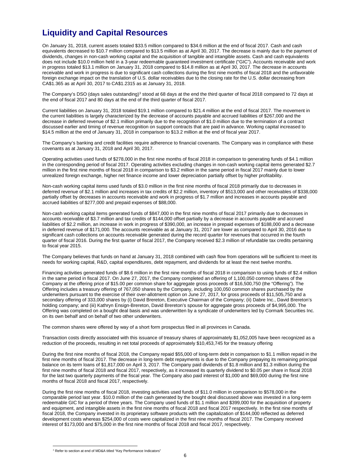# **Liquidity and Capital Resources**

On January 31, 2018, current assets totaled \$33.5 million compared to \$34.6 million at the end of fiscal 2017. Cash and cash equivalents decreased to \$10.7 million compared to \$13.5 million as at April 30, 2017. The decrease is mainly due to the payment of dividends, changes in non-cash working capital and the acquisition of tangible and intangible assets. Cash and cash equivalents does not include \$10.0 million held in a 3-year redeemable guaranteed investment certificate ("GIC"). Accounts receivable and work in progress totaled \$13.1 million on January 31, 2018 compared to \$14.8 million as at April 30, 2017. The decrease in accounts receivable and work in progress is due to significant cash collections during the first nine months of fiscal 2018 and the unfavorable foreign exchange impact on the translation of U.S. dollar receivables due to the closing rate for the U.S. dollar decreasing from CA\$1.365 as at April 30, 2017 to CA\$1.2315 as at January 31, 2018.

The Company's DSO (days sales outstanding)<sup>3</sup> stood at 68 days at the end the third quarter of fiscal 2018 compared to 72 days at the end of fiscal 2017 and 80 days at the end of the third quarter of fiscal 2017.

Current liabilities on January 31, 2018 totaled \$19.1 million compared to \$21.4 million at the end of fiscal 2017. The movement in the current liabilities is largely characterized by the decrease of accounts payable and accrued liabilities of \$267,000 and the decrease in deferred revenue of \$2.1 million primarily due to the recognition of \$1.0 million due to the termination of a contract discussed earlier and timing of revenue recognition on support contracts that are paid in advance. Working capital increased to \$14.5 million at the end of January 31, 2018 in comparison to \$13.2 million at the end of fiscal year 2017.

The Company's banking and credit facilities require adherence to financial covenants. The Company was in compliance with these covenants as at January 31, 2018 and April 30, 2017.

Operating activities used funds of \$278,000 in the first nine months of fiscal 2018 in comparison to generating funds of \$4.1 million in the corresponding period of fiscal 2017. Operating activities excluding changes in non-cash working capital items generated \$2.7 million in the first nine months of fiscal 2018 in comparison to \$3.2 million in the same period in fiscal 2017 mainly due to lower unrealized foreign exchange, higher net finance income and lower depreciation partially offset by higher profitability.

Non-cash working capital items used funds of \$3.0 million in the first nine months of fiscal 2018 primarily due to decreases in deferred revenue of \$2.1 million and increases in tax credits of \$2.2 million, inventory of \$513,000 and other receivables of \$338,000 partially offset by decreases in accounts receivable and work in progress of \$1.7 million and increases in accounts payable and accrued liabilities of \$277,000 and prepaid expenses of \$88,000.

Non-cash working capital items generated funds of \$847,000 in the first nine months of fiscal 2017 primarily due to decreases in accounts receivable of \$3.7 million and tax credits of \$144,000 offset partially by a decrease in accounts payable and accrued liabilities of \$2.2 million, an increase in work in progress of \$390,000, an increase in prepaid expenses of \$188,000 and a decrease in deferred revenue of \$171,000. The accounts receivable as at January 31, 2017 are lower as compared to April 30, 2016 due to significant cash collections on accounts receivable generated during the record quarter for revenues that occurred in the fourth quarter of fiscal 2016. During the first quarter of fiscal 2017, the Company received \$2.3 million of refundable tax credits pertaining to fiscal year 2015.

The Company believes that funds on hand at January 31, 2018 combined with cash flow from operations will be sufficient to meet its needs for working capital, R&D, capital expenditures, debt repayment, and dividends for at least the next twelve months.

Financing activities generated funds of \$8.6 million in the first nine months of fiscal 2018 in comparison to using funds of \$2.4 million in the same period in fiscal 2017. On June 27, 2017, the Company completed an offering of 1,100,050 common shares of the Company at the offering price of \$15.00 per common share for aggregate gross proceeds of \$16,500,750 (the "Offering"). The Offering includes a treasury offering of 767,050 shares by the Company, including 100,050 common shares purchased by the underwriters pursuant to the exercise of their over-allotment option on June 27, 2017, for gross proceeds of \$11,505,750 and a secondary offering of 333,000 shares by (i) David Brereton, Executive Chairman of the Company; (ii) Dabre Inc., David Brereton's holding company; and (iii) Kathryn Ensign-Brereton, David Brereton's spouse for aggregate gross proceeds of \$4,995,000. The Offering was completed on a bought deal basis and was underwritten by a syndicate of underwriters led by Cormark Securities Inc. on its own behalf and on behalf of two other underwriters.

The common shares were offered by way of a short form prospectus filed in all provinces in Canada.

Transaction costs directly associated with this issuance of treasury shares of approximately \$1,052,005 have been recognized as a reduction of the proceeds, resulting in net total proceeds of approximately \$10,453,745 for the treasury offering

During the first nine months of fiscal 2018, the Company repaid \$55,000 of long-term debt in comparison to \$1.1 million repaid in the first nine months of fiscal 2017. The decrease in long-term debt repayments is due to the Company prepaying its remaining principal balance on its term loans of \$1,817,000 on April 3, 2017. The Company paid dividends of \$1.8 million and \$1.3 million during the first nine months of fiscal 2018 and fiscal 2017, respectively, as it increased its quarterly dividend to \$0.05 per share in fiscal 2018 for the last two quarterly payments of the fiscal year. The Company also paid interest of \$1,000 and \$69,000 during the first nine months of fiscal 2018 and fiscal 2017, respectively.

During the first nine months of fiscal 2018, investing activities used funds of \$11.0 million in comparison to \$578,000 in the comparable period last year. \$10.0 million of the cash generated by the bought deal discussed above was invested in a long-term redeemable GIC for a period of three years. The Company used funds of \$1.1 million and \$399,000 for the acquisition of property and equipment, and intangible assets in the first nine months of fiscal 2018 and fiscal 2017 respectively. In the first nine months of fiscal 2018, the Company invested in its proprietary software products with the capitalization of \$144,000 reflected as deferred development costs whereas \$254,000 of costs were capitalized in the first nine months of fiscal 2017. The Company received interest of \$173,000 and \$75,000 in the first nine months of fiscal 2018 and fiscal 2017, respectively.

<sup>&</sup>lt;sup>3</sup> Refer to section at end of MD&A titled "Key Performance Indicators"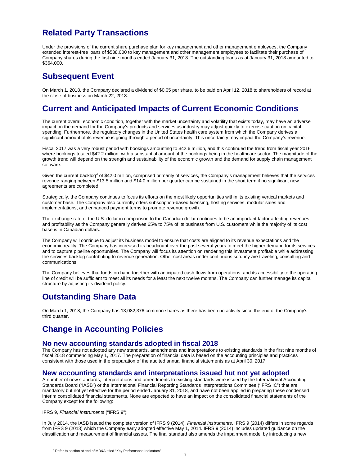## **Related Party Transactions**

Under the provisions of the current share purchase plan for key management and other management employees, the Company extended interest-free loans of \$538,000 to key management and other management employees to facilitate their purchase of Company shares during the first nine months ended January 31, 2018. The outstanding loans as at January 31, 2018 amounted to \$364,000.

### **Subsequent Event**

On March 1, 2018, the Company declared a dividend of \$0.05 per share, to be paid on April 12, 2018 to shareholders of record at the close of business on March 22, 2018.

## **Current and Anticipated Impacts of Current Economic Conditions**

The current overall economic condition, together with the market uncertainty and volatility that exists today, may have an adverse impact on the demand for the Company's products and services as industry may adjust quickly to exercise caution on capital spending. Furthermore, the regulatory changes in the United States health care system from which the Company derives a significant amount of its revenue is going through a period of uncertainty. This uncertainty may impact the Company's revenue.

Fiscal 2017 was a very robust period with bookings amounting to \$42.6 million, and this continued the trend from fiscal year 2016 where bookings totaled \$42.2 million, with a substantial amount of the bookings being in the healthcare sector. The magnitude of the growth trend will depend on the strength and sustainability of the economic growth and the demand for supply chain management software.

Given the current backlog<sup>4</sup> of \$42.0 million, comprised primarily of services, the Company's management believes that the services revenue ranging between \$13.5 million and \$14.0 million per quarter can be sustained in the short term if no significant new agreements are completed.

Strategically, the Company continues to focus its efforts on the most likely opportunities within its existing vertical markets and customer base. The Company also currently offers subscription-based licensing, hosting services, modular sales and implementations, and enhanced payment terms to promote revenue growth.

The exchange rate of the U.S. dollar in comparison to the Canadian dollar continues to be an important factor affecting revenues and profitability as the Company generally derives 65% to 75% of its business from U.S. customers while the majority of its cost base is in Canadian dollars.

The Company will continue to adjust its business model to ensure that costs are aligned to its revenue expectations and the economic reality. The Company has increased its headcount over the past several years to meet the higher demand for its services and to capture pipeline opportunities. The Company will focus its attention on rendering this investment profitable while addressing the services backlog contributing to revenue generation. Other cost areas under continuous scrutiny are traveling, consulting and communications.

The Company believes that funds on hand together with anticipated cash flows from operations, and its accessibility to the operating line of credit will be sufficient to meet all its needs for a least the next twelve months. The Company can further manage its capital structure by adjusting its dividend policy.

# **Outstanding Share Data**

On March 1, 2018, the Company has 13,082,376 common shares as there has been no activity since the end of the Company's third quarter.

## **Change in Accounting Policies**

### **No new accounting standards adopted in fiscal 2018**

The Company has not adopted any new standards, amendments and interpretations to existing standards in the first nine months of fiscal 2018 commencing May 1, 2017. The preparation of financial data is based on the accounting principles and practices consistent with those used in the preparation of the audited annual financial statements as at April 30, 2017.

### **New accounting standards and interpretations issued but not yet adopted**

A number of new standards, interpretations and amendments to existing standards were issued by the International Accounting Standards Board ("IASB") or the International Financial Reporting Standards Interpretations Committee ('IFRS IC") that are mandatory but not yet effective for the period ended January 31, 2018, and have not been applied in preparing these condensed interim consolidated financial statements. None are expected to have an impact on the consolidated financial statements of the Company except for the following:

#### IFRS 9, *Financial Instruments* ("IFRS 9"):

In July 2014, the IASB issued the complete version of IFRS 9 (2014), *Financial Instruments*. IFRS 9 (2014) differs in some regards from IFRS 9 (2013) which the Company early adopted effective May 1, 2014. IFRS 9 (2014) includes updated guidance on the classification and measurement of financial assets. The final standard also amends the impairment model by introducing a new

<sup>4</sup> Refer to section at end of MD&A titled "Key Performance Indicators"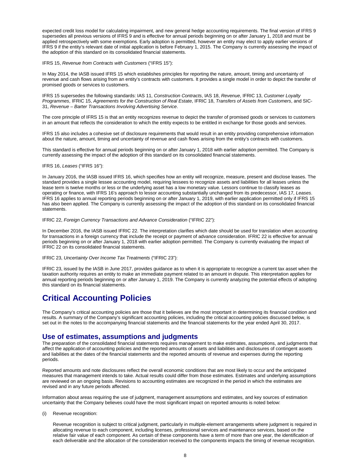expected credit loss model for calculating impairment, and new general hedge accounting requirements. The final version of IFRS 9 supersedes all previous versions of IFRS 9 and is effective for annual periods beginning on or after January 1, 2018 and must be applied retrospectively with some exemptions. Early adoption is permitted, however an entity may elect to apply earlier versions of IFRS 9 if the entity's relevant date of initial application is before February 1, 2015. The Company is currently assessing the impact of the adoption of this standard on its consolidated financial statements.

IFRS 15, *Revenue from Contracts with Customers* ("IFRS 15"):

In May 2014, the IASB issued IFRS 15 which establishes principles for reporting the nature, amount, timing and uncertainty of revenue and cash flows arising from an entity's contracts with customers. It provides a single model in order to depict the transfer of promised goods or services to customers.

IFRS 15 supersedes the following standards: IAS 11, *Construction Contracts*, IAS 18, *Revenue*, IFRIC 13, *Customer Loyalty Programmes*, IFRIC 15, *Agreements for the Construction of Real Estate*, IFRIC 18, *Transfers of Assets from Customers*, and SIC-31, *Revenue – Barter Transactions Involving Advertising Service*.

The core principle of IFRS 15 is that an entity recognizes revenue to depict the transfer of promised goods or services to customers in an amount that reflects the consideration to which the entity expects to be entitled in exchange for those goods and services.

IFRS 15 also includes a cohesive set of disclosure requirements that would result in an entity providing comprehensive information about the nature, amount, timing and uncertainty of revenue and cash flows arising from the entity's contracts with customers.

This standard is effective for annual periods beginning on or after January 1, 2018 with earlier adoption permitted. The Company is currently assessing the impact of the adoption of this standard on its consolidated financial statements.

#### IFRS 16, *Leases* ("IFRS 16"):

In January 2016, the IASB issued IFRS 16, which specifies how an entity will recognize, measure, present and disclose leases. The standard provides a single lessee accounting model, requiring lessees to recognize assets and liabilities for all leases unless the lease term is twelve months or less or the underlying asset has a low monetary value. Lessors continue to classify leases as operating or finance, with IFRS 16's approach to lessor accounting substantially unchanged from its predecessor, IAS 17, *Leases*. IFRS 16 applies to annual reporting periods beginning on or after January 1, 2019, with earlier application permitted only if IFRS 15 has also been applied. The Company is currently assessing the impact of the adoption of this standard on its consolidated financial statements.

IFRIC 22, *Foreign Currency Transactions and Advance Consideration* ("IFRIC 22"):

In December 2016, the IASB issued IFRIC 22. The interpretation clarifies which date should be used for translation when accounting for transactions in a foreign currency that include the receipt or payment of advance consideration. IFRIC 22 is effective for annual periods beginning on or after January 1, 2018 with earlier adoption permitted. The Company is currently evaluating the impact of IFRIC 22 on its consolidated financial statements.

IFRIC 23, *Uncertainty Over Income Tax Treatments* ("IFRIC 23"):

IFRIC 23, issued by the IASB in June 2017, provides guidance as to when it is appropriate to recognize a current tax asset when the taxation authority requires an entity to make an immediate payment related to an amount in dispute. This interpretation applies for annual reporting periods beginning on or after January 1, 2019. The Company is currently analyzing the potential effects of adopting this standard on its financial statements.

# **Critical Accounting Policies**

The Company's critical accounting policies are those that it believes are the most important in determining its financial condition and results. A summary of the Company's significant accounting policies, including the critical accounting policies discussed below, is set out in the notes to the accompanying financial statements and the financial statements for the year ended April 30, 2017.

### **Use of estimates, assumptions and judgments**

The preparation of the consolidated financial statements requires management to make estimates, assumptions, and judgments that affect the application of accounting policies and the reported amounts of assets and liabilities and disclosures of contingent assets and liabilities at the dates of the financial statements and the reported amounts of revenue and expenses during the reporting periods.

Reported amounts and note disclosures reflect the overall economic conditions that are most likely to occur and the anticipated measures that management intends to take. Actual results could differ from those estimates. Estimates and underlying assumptions are reviewed on an ongoing basis. Revisions to accounting estimates are recognized in the period in which the estimates are revised and in any future periods affected.

Information about areas requiring the use of judgment, management assumptions and estimates, and key sources of estimation uncertainty that the Company believes could have the most significant impact on reported amounts is noted below:

#### (i) Revenue recognition:

Revenue recognition is subject to critical judgment, particularly in multiple-element arrangements where judgment is required in allocating revenue to each component, including licenses, professional services and maintenance services, based on the relative fair value of each component. As certain of these components have a term of more than one year, the identification of each deliverable and the allocation of the consideration received to the components impacts the timing of revenue recognition.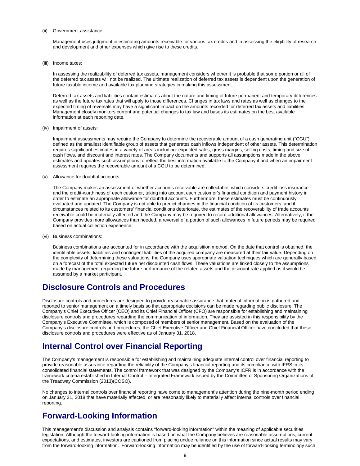#### (ii) Government assistance:

Management uses judgment in estimating amounts receivable for various tax credits and in assessing the eligibility of research and development and other expenses which give rise to these credits.

(iii) Income taxes:

In assessing the realizability of deferred tax assets, management considers whether it is probable that some portion or all of the deferred tax assets will not be realized. The ultimate realization of deferred tax assets is dependent upon the generation of future taxable income and available tax planning strategies in making this assessment.

Deferred tax assets and liabilities contain estimates about the nature and timing of future permanent and temporary differences as well as the future tax rates that will apply to those differences. Changes in tax laws and rates as well as changes to the expected timing of reversals may have a significant impact on the amounts recorded for deferred tax assets and liabilities. Management closely monitors current and potential changes to tax law and bases its estimates on the best available information at each reporting date.

(iv) Impairment of assets:

Impairment assessments may require the Company to determine the recoverable amount of a cash generating unit ("CGU"), defined as the smallest identifiable group of assets that generates cash inflows independent of other assets. This determination requires significant estimates in a variety of areas including: expected sales, gross margins, selling costs, timing and size of cash flows, and discount and interest rates. The Company documents and supports all assumptions made in the above estimates and updates such assumptions to reflect the best information available to the Company if and when an impairment assessment requires the recoverable amount of a CGU to be determined.

(v) Allowance for doubtful accounts:

The Company makes an assessment of whether accounts receivable are collectable, which considers credit loss insurance and the credit-worthiness of each customer, taking into account each customer's financial condition and payment history in order to estimate an appropriate allowance for doubtful accounts. Furthermore, these estimates must be continuously evaluated and updated. The Company is not able to predict changes in the financial condition of its customers, and if circumstances related to its customers' financial conditions deteriorate, the estimates of the recoverability of trade accounts receivable could be materially affected and the Company may be required to record additional allowances. Alternatively, if the Company provides more allowances than needed, a reversal of a portion of such allowances in future periods may be required based on actual collection experience.

(vi) Business combinations:

Business combinations are accounted for in accordance with the acquisition method. On the date that control is obtained, the identifiable assets, liabilities and contingent liabilities of the acquired company are measured at their fair value. Depending on the complexity of determining these valuations, the Company uses appropriate valuation techniques which are generally based on a forecast of the total expected future net discounted cash flows. These valuations are linked closely to the assumptions made by management regarding the future performance of the related assets and the discount rate applied as it would be assumed by a market participant.

### **Disclosure Controls and Procedures**

Disclosure controls and procedures are designed to provide reasonable assurance that material information is gathered and reported to senior management on a timely basis so that appropriate decisions can be made regarding public disclosure. The Company's Chief Executive Officer (CEO) and its Chief Financial Officer (CFO) are responsible for establishing and maintaining disclosure controls and procedures regarding the communication of information. They are assisted in this responsibility by the Company's Executive Committee, which is composed of members of senior management. Based on the evaluation of the Company's disclosure controls and procedures, the Chief Executive Officer and Chief Financial Officer have concluded that these disclosure controls and procedures were effective as of January 31, 2018.

## **Internal Control over Financial Reporting**

The Company's management is responsible for establishing and maintaining adequate internal control over financial reporting to provide reasonable assurance regarding the reliability of the Company's financial reporting and its compliance with IFRS in its consolidated financial statements. The control framework that was designed by the Company's ICFR is in accordance with the framework criteria established in Internal Control – Integrated Framework issued by the Committee of Sponsoring Organizations of the Treadway Commission (2013)(COSO).

No changes to internal controls over financial reporting have come to management's attention during the nine-month period ending on January 31, 2018 that have materially affected, or are reasonably likely to materially affect internal controls over financial reporting.

### **Forward-Looking Information**

This management's discussion and analysis contains "forward-looking information" within the meaning of applicable securities legislation. Although the forward-looking information is based on what the Company believes are reasonable assumptions, current expectations, and estimates, investors are cautioned from placing undue reliance on this information since actual results may vary from the forward-looking information. Forward-looking information may be identified by the use of forward-looking terminology such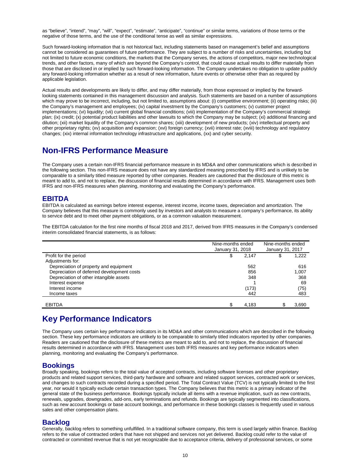as "believe", "intend", "may", "will", "expect", "estimate", "anticipate", "continue" or similar terms, variations of those terms or the negative of those terms, and the use of the conditional tense as well as similar expressions.

Such forward-looking information that is not historical fact, including statements based on management's belief and assumptions cannot be considered as guarantees of future performance. They are subject to a number of risks and uncertainties, including but not limited to future economic conditions, the markets that the Company serves, the actions of competitors, major new technological trends, and other factors, many of which are beyond the Company's control, that could cause actual results to differ materially from those that are disclosed in or implied by such forward-looking information. The Company undertakes no obligation to update publicly any forward-looking information whether as a result of new information, future events or otherwise other than as required by applicable legislation.

Actual results and developments are likely to differ, and may differ materially, from those expressed or implied by the forwardlooking statements contained in this management discussion and analysis. Such statements are based on a number of assumptions which may prove to be incorrect, including, but not limited to, assumptions about: (i) competitive environment; (ii) operating risks; (iii) the Company's management and employees; (iv) capital investment by the Company's customers; (v) customer project implementations; (vi) liquidity; (vii) current global financial conditions; (viii) implementation of the Company's commercial strategic plan; (ix) credit; (x) potential product liabilities and other lawsuits to which the Company may be subject; (xi) additional financing and dilution; (xii) market liquidity of the Company's common shares; (xiii) development of new products; (xiv) intellectual property and other proprietary rights; (xv) acquisition and expansion; (xvi) foreign currency; (xvii) interest rate; (xviii) technology and regulatory changes; (xix) internal information technology infrastructure and applications, (xx) and cyber security.

### **Non-IFRS Performance Measure**

The Company uses a certain non-IFRS financial performance measure in its MD&A and other communications which is described in the following section. This non-IFRS measure does not have any standardized meaning prescribed by IFRS and is unlikely to be comparable to a similarly titled measure reported by other companies. Readers are cautioned that the disclosure of this metric is meant to add to, and not to replace, the discussion of financial results determined in accordance with IFRS. Management uses both IFRS and non-IFRS measures when planning, monitoring and evaluating the Company's performance.

### **EBITDA**

EBITDA is calculated as earnings before interest expense, interest income, income taxes, depreciation and amortization. The Company believes that this measure is commonly used by investors and analysts to measure a company's performance, its ability to service debt and to meet other payment obligations, or as a common valuation measurement.

The EBITDA calculation for the first nine months of fiscal 2018 and 2017, derived from IFRS measures in the Company's condensed interim consolidated financial statements, is as follows:

|                                            | Nine-months ended<br>January 31, 2018 |       | Nine-months ended<br>January 31, 2017 |       |
|--------------------------------------------|---------------------------------------|-------|---------------------------------------|-------|
| Profit for the period                      | \$                                    | 2,147 | \$                                    | 1,222 |
| Adjustments for:                           |                                       |       |                                       |       |
| Depreciation of property and equipment     |                                       | 562   |                                       | 616   |
| Depreciation of deferred development costs |                                       | 856   |                                       | 1.007 |
| Depreciation of other intangible assets    |                                       | 348   |                                       | 368   |
| Interest expense                           |                                       |       |                                       | 69    |
| Interest income                            |                                       | (173) |                                       | (75)  |
| Income taxes                               |                                       | 442   |                                       | 483   |
|                                            |                                       |       |                                       |       |
| <b>EBITDA</b>                              |                                       | 4.183 |                                       | 3,690 |

## **Key Performance Indicators**

The Company uses certain key performance indicators in its MD&A and other communications which are described in the following section. These key performance indicators are unlikely to be comparable to similarly titled indicators reported by other companies. Readers are cautioned that the disclosure of these metrics are meant to add to, and not to replace, the discussion of financial results determined in accordance with IFRS. Management uses both IFRS measures and key performance indicators when planning, monitoring and evaluating the Company's performance.

### **Bookings**

Broadly speaking, bookings refers to the total value of accepted contracts, including software licenses and other proprietary products and related support services, third-party hardware and software and related support services, contracted work or services, and changes to such contracts recorded during a specified period. The Total Contract Value (TCV) is not typically limited to the first year, nor would it typically exclude certain transaction types. The Company believes that this metric is a primary indicator of the general state of the business performance. Bookings typically include all items with a revenue implication, such as new contracts, renewals, upgrades, downgrades, add-ons, early terminations and refunds. Bookings are typically segmented into classifications, such as new account bookings or base account bookings, and performance in these bookings classes is frequently used in various sales and other compensation plans.

### **Backlog**

Generally, backlog refers to something unfulfilled. In a traditional software company, this term is used largely within finance. Backlog refers to the value of contracted orders that have not shipped and services not yet delivered. Backlog could refer to the value of contracted or committed revenue that is not yet recognizable due to acceptance criteria, delivery of professional services, or some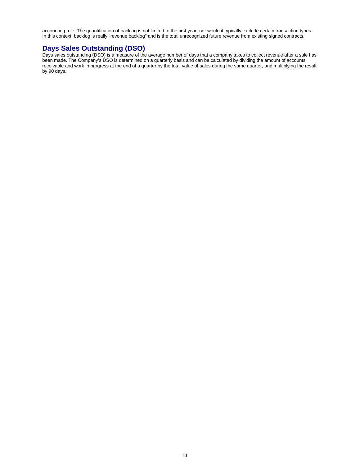accounting rule. The quantification of backlog is not limited to the first year, nor would it typically exclude certain transaction types. In this context, backlog is really "revenue backlog" and is the total unrecognized future revenue from existing signed contracts.

### **Days Sales Outstanding (DSO)**

Days sales outstanding (DSO) is a measure of the average number of days that a company takes to collect revenue after a sale has been made. The Company's DSO is determined on a quarterly basis and can be calculated by dividing the amount of accounts receivable and work in progress at the end of a quarter by the total value of sales during the same quarter, and multiplying the result by 90 days.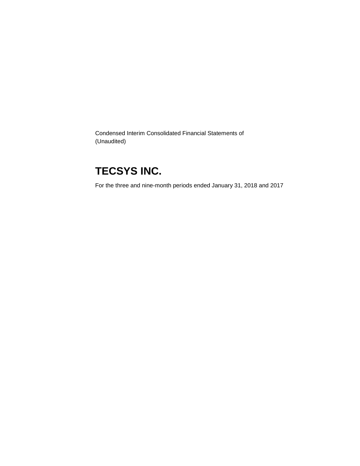Condensed Interim Consolidated Financial Statements of (Unaudited)

# **TECSYS INC.**

For the three and nine-month periods ended January 31, 2018 and 2017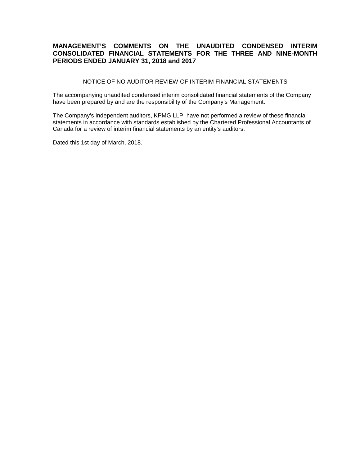### **MANAGEMENT'S COMMENTS ON THE UNAUDITED CONDENSED INTERIM CONSOLIDATED FINANCIAL STATEMENTS FOR THE THREE AND NINE-MONTH PERIODS ENDED JANUARY 31, 2018 and 2017**

NOTICE OF NO AUDITOR REVIEW OF INTERIM FINANCIAL STATEMENTS

The accompanying unaudited condensed interim consolidated financial statements of the Company have been prepared by and are the responsibility of the Company's Management.

The Company's independent auditors, KPMG LLP, have not performed a review of these financial statements in accordance with standards established by the Chartered Professional Accountants of Canada for a review of interim financial statements by an entity's auditors.

Dated this 1st day of March, 2018.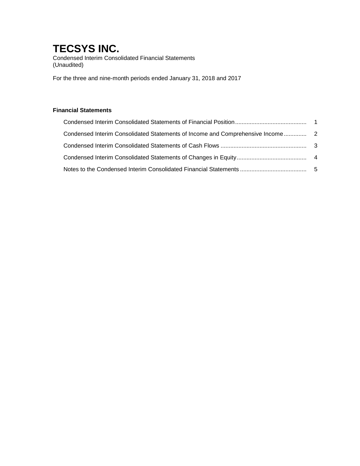Condensed Interim Consolidated Financial Statements (Unaudited)

For the three and nine-month periods ended January 31, 2018 and 2017

### **Financial Statements**

| Condensed Interim Consolidated Statements of Income and Comprehensive Income |  |
|------------------------------------------------------------------------------|--|
|                                                                              |  |
|                                                                              |  |
|                                                                              |  |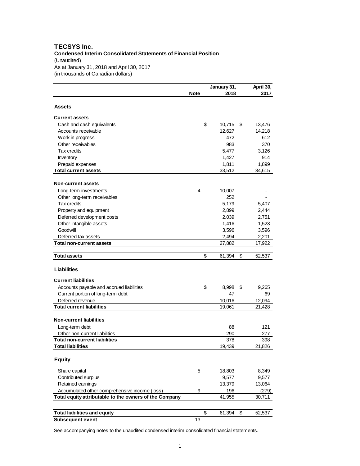#### **TECSYS Inc. Condensed Interim Consolidated Statements of Financial Position** (Unaudited) As at January 31, 2018 and April 30, 2017 (in thousands of Canadian dollars)

|                                                        |             | January 31, | April 30,    |
|--------------------------------------------------------|-------------|-------------|--------------|
|                                                        | <b>Note</b> | 2018        | 2017         |
| Assets                                                 |             |             |              |
|                                                        |             |             |              |
| <b>Current assets</b>                                  |             |             |              |
| Cash and cash equivalents                              | \$          | 10,715      | \$<br>13,476 |
| Accounts receivable                                    |             | 12,627      | 14,218       |
| Work in progress                                       |             | 472         | 612          |
| Other receivables                                      |             | 983         | 370          |
| <b>Tax credits</b>                                     |             | 5,477       | 3,126        |
| Inventory                                              |             | 1,427       | 914          |
| Prepaid expenses                                       |             | 1,811       | 1,899        |
| <b>Total current assets</b>                            |             | 33,512      | 34,615       |
| <b>Non-current assets</b>                              |             |             |              |
| Long-term investments                                  | 4           | 10,007      |              |
| Other long-term receivables                            |             | 252         |              |
| <b>Tax credits</b>                                     |             | 5,179       | 5,407        |
| Property and equipment                                 |             | 2,899       | 2,444        |
| Deferred development costs                             |             | 2,039       | 2,751        |
| Other intangible assets                                |             | 1,416       | 1,523        |
| Goodwill                                               |             | 3,596       | 3,596        |
| Deferred tax assets                                    |             | 2,494       | 2,201        |
| Total non-current assets                               |             | 27,882      | 17,922       |
|                                                        |             |             |              |
| <b>Total assets</b>                                    | \$          | 61,394      | \$<br>52,537 |
| <b>Liabilities</b>                                     |             |             |              |
| <b>Current liabilities</b>                             |             |             |              |
| Accounts payable and accrued liabilities               | \$          | 8,998       | \$<br>9,265  |
| Current portion of long-term debt                      |             | 47          | 69           |
| Deferred revenue                                       |             | 10,016      | 12,094       |
| <b>Total current liabilities</b>                       |             | 19,061      | 21,428       |
|                                                        |             |             |              |
| <b>Non-current liabilities</b>                         |             |             |              |
| Long-term debt                                         |             | 88          | 121          |
| Other non-current liabilities                          |             | 290         | 277          |
| <b>Total non-current liabilities</b>                   |             | 378         | 398          |
| <b>Total liabilities</b>                               |             | 19,439      | 21,826       |
| <b>Equity</b>                                          |             |             |              |
| Share capital                                          | 5           | 18,803      | 8,349        |
| Contributed surplus                                    |             | 9,577       | 9,577        |
| Retained earnings                                      |             | 13,379      | 13,064       |
| Accumulated other comprehensive income (loss)          | 9           | 196         | (279)        |
| Total equity attributable to the owners of the Company |             | 41,955      | 30,711       |
|                                                        |             |             |              |
| <b>Total liabilities and equity</b>                    | \$          | 61,394      | \$<br>52,537 |
| <b>Subsequent event</b>                                | 13          |             |              |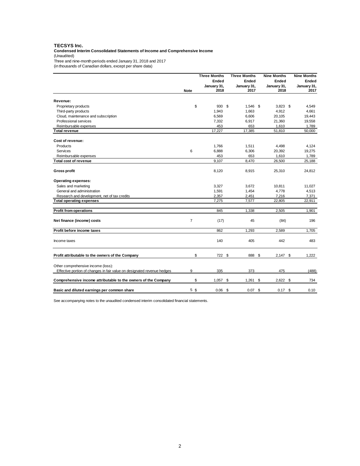#### **TECSYS Inc.**

**Condensed Interim Consolidated Statements of Income and Comprehensive Income** (Unaudited)

Three and nine-month periods ended January 31, 2018 and 2017

(in thousands of Canadian dollars, except per share data)

|                                                                                                               |                | <b>Three Months</b> | <b>Three Months</b> | <b>Nine Months</b>  | <b>Nine Months</b>  |
|---------------------------------------------------------------------------------------------------------------|----------------|---------------------|---------------------|---------------------|---------------------|
|                                                                                                               |                | Ended               | Ended               | Ended               | Ended               |
|                                                                                                               | <b>Note</b>    | January 31,<br>2018 | January 31,<br>2017 | January 31,<br>2018 | January 31,<br>2017 |
| Revenue:                                                                                                      |                |                     |                     |                     |                     |
| Proprietary products                                                                                          | \$             | 930                 | \$<br>1,546 \$      | $3,823$ \$          | 4,549               |
| Third-party products                                                                                          |                | 1,943               | 1,663               | 4,912               | 4,661               |
| Cloud, maintenance and subscription                                                                           |                | 6,569               | 6,606               | 20,105              | 19,443              |
| Professional services                                                                                         |                | 7,332               | 6,917               | 21,360              | 19,558              |
| Reimbursable expenses                                                                                         |                | 453                 | 653                 | 1,610               | 1,789               |
| Total revenue                                                                                                 |                | 17,227              | 17,385              | 51,810              | 50,000              |
| Cost of revenue:                                                                                              |                |                     |                     |                     |                     |
| Products                                                                                                      |                | 1,766               | 1,511               | 4,498               | 4,124               |
| Services                                                                                                      | 6              | 6,888               | 6,306               | 20,392              | 19,275              |
| Reimbursable expenses                                                                                         |                | 453                 | 653                 | 1,610               | 1,789               |
| <b>Total cost of revenue</b>                                                                                  |                | 9.107               | 8,470               | 26,500              | 25,188              |
| <b>Gross profit</b>                                                                                           |                | 8,120               | 8,915               | 25,310              | 24,812              |
| <b>Operating expenses:</b>                                                                                    |                |                     |                     |                     |                     |
| Sales and marketing                                                                                           |                | 3,327               | 3,672               | 10,811              | 11,027              |
| General and administration                                                                                    |                | 1,591               | 1,454               | 4,778               | 4,513               |
| Research and development, net of tax credits                                                                  |                | 2.357               | 2,451               | 7,216               | 7,371               |
| <b>Total operating expenses</b>                                                                               |                | 7,275               | 7,577               | 22,805              | 22,911              |
| <b>Profit from operations</b>                                                                                 |                | 845                 | 1,338               | 2,505               | 1,901               |
| Net finance (income) costs                                                                                    | $\overline{7}$ | (17)                | 45                  | (84)                | 196                 |
| Profit before income taxes                                                                                    |                | 862                 | 1,293               | 2,589               | 1,705               |
| Income taxes                                                                                                  |                | 140                 | 405                 | 442                 | 483                 |
| Profit attributable to the owners of the Company                                                              | \$             | 722 \$              | 888 \$              | $2,147$ \$          | 1,222               |
| Other comprehensive income (loss):<br>Effective portion of changes in fair value on designated revenue hedges | 9              | 335                 | 373                 | 475                 | (488)               |
|                                                                                                               |                |                     |                     |                     |                     |
| Comprehensive income attributable to the owners of the Company                                                | \$             | 1,057               | \$<br>1,261         | $2,622$ \$<br>-\$   | 734                 |
| Basic and diluted earnings per common share                                                                   | 5 <sub>s</sub> | 0.06                | \$<br>$0.07$ \$     | $0.17$ \$           | 0.10                |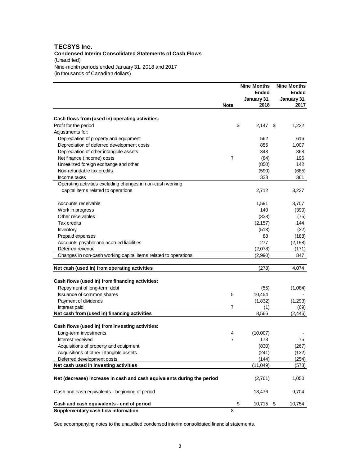#### **TECSYS Inc. Condensed Interim Consolidated Statements of Cash Flows** (Unaudited) Nine-month periods ended January 31, 2018 and 2017 (in thousands of Canadian dollars)

|                                                                        |             | <b>Nine Months</b><br>Ended<br>January 31, | <b>Nine Months</b><br>Ended<br>January 31, |
|------------------------------------------------------------------------|-------------|--------------------------------------------|--------------------------------------------|
|                                                                        | <b>Note</b> | 2018                                       | 2017                                       |
| Cash flows from (used in) operating activities:                        |             |                                            |                                            |
| Profit for the period                                                  |             | \$<br>2,147                                | 1,222<br>\$                                |
| Adjustments for:                                                       |             |                                            |                                            |
| Depreciation of property and equipment                                 |             | 562                                        | 616                                        |
| Depreciation of deferred development costs                             |             | 856                                        | 1,007                                      |
| Depreciation of other intangible assets                                |             | 348                                        | 368                                        |
| Net finance (income) costs                                             | 7           | (84)                                       | 196                                        |
| Unrealized foreign exchange and other                                  |             | (850)                                      | 142                                        |
| Non-refundable tax credits                                             |             | (590)                                      | (685)                                      |
| Income taxes                                                           |             | 323                                        | 361                                        |
| Operating activities excluding changes in non-cash working             |             |                                            |                                            |
| capital items related to operations                                    |             | 2,712                                      | 3,227                                      |
|                                                                        |             |                                            |                                            |
| Accounts receivable                                                    |             | 1,591                                      | 3,707                                      |
| Work in progress                                                       |             | 140                                        | (390)                                      |
| Other receivables                                                      |             | (338)                                      | (75)                                       |
| Tax credits                                                            |             | (2, 157)                                   | 144                                        |
| Inventory                                                              |             | (513)                                      | (22)                                       |
| Prepaid expenses                                                       |             | 88                                         | (188)                                      |
| Accounts payable and accrued liabilities                               |             | 277                                        | (2, 158)                                   |
| Deferred revenue                                                       |             | (2,078)                                    | (171)                                      |
| Changes in non-cash working capital items related to operations        |             | (2,990)                                    | 847                                        |
|                                                                        |             |                                            |                                            |
| Net cash (used in) from operating activities                           |             | (278)                                      | 4,074                                      |
| Cash flows (used in) from financing activities:                        |             |                                            |                                            |
| Repayment of long-term debt                                            |             | (55)                                       | (1,084)                                    |
| Issuance of common shares                                              | 5           | 10,454                                     |                                            |
| Payment of dividends                                                   |             | (1,832)                                    | (1,293)                                    |
| Interest paid                                                          | 7           | (1)                                        | (69)                                       |
| Net cash from (used in) financing activities                           |             | 8,566                                      | (2, 446)                                   |
|                                                                        |             |                                            |                                            |
| Cash flows (used in) from investing activities:                        |             |                                            |                                            |
| Long-term investments                                                  | 4           | (10,007)                                   |                                            |
| Interest received                                                      | 7           | 173                                        | 75                                         |
| Acquisitions of property and equipment                                 |             | (830)                                      | (267)                                      |
| Acquisitions of other intangible assets                                |             | (241)                                      | (132)                                      |
| Deferred development costs                                             |             | (144)                                      | (254)                                      |
| Net cash used in investing activities                                  |             | (11, 049)                                  | (578)                                      |
| Net (decrease) increase in cash and cash equivalents during the period |             | (2,761)                                    | 1,050                                      |
| Cash and cash equivalents - beginning of period                        |             | 13,476                                     | 9,704                                      |
| Cash and cash equivalents - end of period                              |             | \$<br>10,715                               | \$<br>10,754                               |
| Supplementary cash flow information                                    | 8           |                                            |                                            |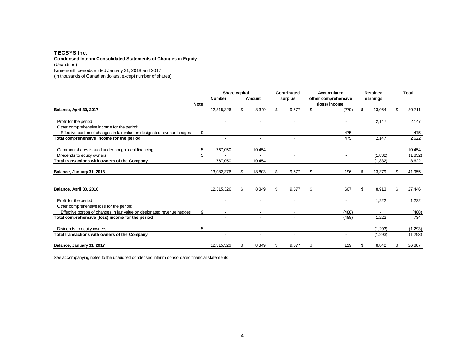#### **TECSYS Inc. Condensed Interim Consolidated Statements of Changes in Equity**

(Unaudited)

Nine-month periods ended January 31, 2018 and 2017

(in thousands of Canadian dollars, except number of shares)

|                                                                             |             | Share capital<br>Contributed |    | Accumulated |                          | <b>Retained</b> | Total                    |              |    |                    |
|-----------------------------------------------------------------------------|-------------|------------------------------|----|-------------|--------------------------|-----------------|--------------------------|--------------|----|--------------------|
|                                                                             |             | <b>Number</b>                |    | Amount      | surplus                  |                 | other comprehensive      | earnings     |    |                    |
|                                                                             | <b>Note</b> |                              |    |             |                          |                 | (loss) income            |              |    |                    |
| Balance, April 30, 2017                                                     |             | 12,315,326                   | \$ | 8,349       | \$<br>9,577              | \$              | (279)                    | \$<br>13,064 | \$ | 30,711             |
| Profit for the period                                                       |             |                              |    |             |                          |                 |                          | 2,147        |    | 2,147              |
| Other comprehensive income for the period:                                  |             |                              |    |             |                          |                 |                          |              |    |                    |
| Effective portion of changes in fair value on designated revenue hedges     | 9           | $\overline{\phantom{a}}$     |    |             |                          |                 | 475                      |              |    | 475                |
| Total comprehensive income for the period                                   |             |                              |    |             |                          |                 | 475                      | 2,147        |    | 2,622              |
| Common shares issued under bought deal financing                            | 5           | 767,050                      |    | 10,454      |                          |                 |                          |              |    | 10,454             |
| Dividends to equity owners                                                  | 5           |                              |    |             |                          |                 |                          | (1,832)      |    | (1,832)            |
| Total transactions with owners of the Company                               |             | 767.050                      |    | 10.454      | $\overline{\phantom{a}}$ |                 | $\overline{\phantom{a}}$ | (1,832)      |    | 8,622              |
| Balance, January 31, 2018                                                   |             | 13,082,376                   | \$ | 18,803      | \$<br>9,577              | \$              | 196                      | \$<br>13,379 | \$ | 41,955             |
| Balance, April 30, 2016                                                     |             | 12,315,326                   | \$ | 8,349       | \$<br>9,577              | \$              | 607                      | \$<br>8,913  |    | 27,446             |
| Profit for the period<br>Other comprehensive loss for the period:           |             |                              |    |             |                          |                 |                          | 1,222        |    | 1,222              |
| Effective portion of changes in fair value on designated revenue hedges     | 9           |                              |    |             |                          |                 | (488)                    |              |    | (488)              |
| Total comprehensive (loss) income for the period                            |             |                              |    |             |                          |                 | (488)                    | 1.222        |    | 734                |
|                                                                             | 5           |                              |    |             |                          |                 |                          | (1,293)      |    |                    |
| Dividends to equity owners<br>Total transactions with owners of the Company |             |                              |    |             |                          |                 |                          | (1,293)      |    | (1,293)<br>(1,293) |
|                                                                             |             |                              |    |             |                          |                 |                          |              |    |                    |
| Balance, January 31, 2017                                                   |             | 12,315,326                   | \$ | 8,349       | \$<br>9,577              | \$              | 119                      | \$<br>8,842  | \$ | 26,887             |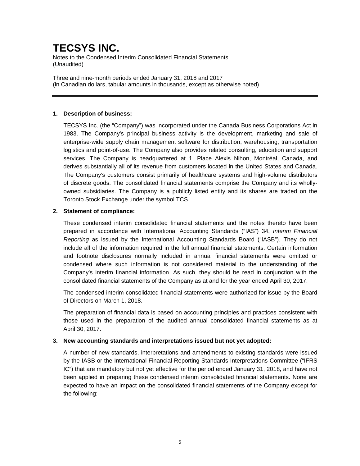Notes to the Condensed Interim Consolidated Financial Statements (Unaudited)

Three and nine-month periods ended January 31, 2018 and 2017 (in Canadian dollars, tabular amounts in thousands, except as otherwise noted)

### **1. Description of business:**

TECSYS Inc. (the "Company") was incorporated under the Canada Business Corporations Act in 1983. The Company's principal business activity is the development, marketing and sale of enterprise-wide supply chain management software for distribution, warehousing, transportation logistics and point-of-use. The Company also provides related consulting, education and support services. The Company is headquartered at 1, Place Alexis Nihon, Montréal, Canada, and derives substantially all of its revenue from customers located in the United States and Canada. The Company's customers consist primarily of healthcare systems and high-volume distributors of discrete goods. The consolidated financial statements comprise the Company and its whollyowned subsidiaries. The Company is a publicly listed entity and its shares are traded on the Toronto Stock Exchange under the symbol TCS.

### **2. Statement of compliance:**

These condensed interim consolidated financial statements and the notes thereto have been prepared in accordance with International Accounting Standards ("IAS") 34, *Interim Financial Reporting* as issued by the International Accounting Standards Board ("IASB"). They do not include all of the information required in the full annual financial statements. Certain information and footnote disclosures normally included in annual financial statements were omitted or condensed where such information is not considered material to the understanding of the Company's interim financial information. As such, they should be read in conjunction with the consolidated financial statements of the Company as at and for the year ended April 30, 2017.

The condensed interim consolidated financial statements were authorized for issue by the Board of Directors on March 1, 2018.

The preparation of financial data is based on accounting principles and practices consistent with those used in the preparation of the audited annual consolidated financial statements as at April 30, 2017.

#### **3. New accounting standards and interpretations issued but not yet adopted:**

A number of new standards, interpretations and amendments to existing standards were issued by the IASB or the International Financial Reporting Standards Interpretations Committee ("IFRS IC") that are mandatory but not yet effective for the period ended January 31, 2018, and have not been applied in preparing these condensed interim consolidated financial statements. None are expected to have an impact on the consolidated financial statements of the Company except for the following: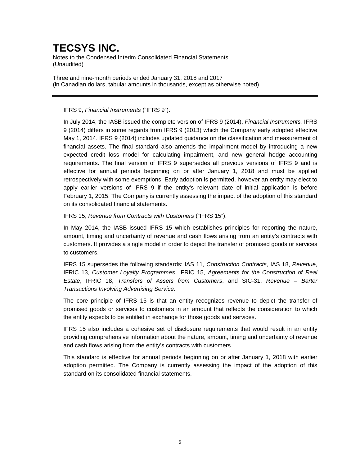Notes to the Condensed Interim Consolidated Financial Statements (Unaudited)

Three and nine-month periods ended January 31, 2018 and 2017 (in Canadian dollars, tabular amounts in thousands, except as otherwise noted)

### IFRS 9, *Financial Instruments* ("IFRS 9"):

In July 2014, the IASB issued the complete version of IFRS 9 (2014), *Financial Instruments.* IFRS 9 (2014) differs in some regards from IFRS 9 (2013) which the Company early adopted effective May 1, 2014. IFRS 9 (2014) includes updated guidance on the classification and measurement of financial assets. The final standard also amends the impairment model by introducing a new expected credit loss model for calculating impairment, and new general hedge accounting requirements. The final version of IFRS 9 supersedes all previous versions of IFRS 9 and is effective for annual periods beginning on or after January 1, 2018 and must be applied retrospectively with some exemptions. Early adoption is permitted, however an entity may elect to apply earlier versions of IFRS 9 if the entity's relevant date of initial application is before February 1, 2015. The Company is currently assessing the impact of the adoption of this standard on its consolidated financial statements.

IFRS 15, *Revenue from Contracts with Customers* ("IFRS 15"):

In May 2014, the IASB issued IFRS 15 which establishes principles for reporting the nature, amount, timing and uncertainty of revenue and cash flows arising from an entity's contracts with customers. It provides a single model in order to depict the transfer of promised goods or services to customers.

IFRS 15 supersedes the following standards: IAS 11, *Construction Contracts*, IAS 18, *Revenue*, IFRIC 13, *Customer Loyalty Programmes*, IFRIC 15, *Agreements for the Construction of Real Estate*, IFRIC 18, *Transfers of Assets from Customers*, and SIC-31, *Revenue – Barter Transactions Involving Advertising Service.*

The core principle of IFRS 15 is that an entity recognizes revenue to depict the transfer of promised goods or services to customers in an amount that reflects the consideration to which the entity expects to be entitled in exchange for those goods and services.

IFRS 15 also includes a cohesive set of disclosure requirements that would result in an entity providing comprehensive information about the nature, amount, timing and uncertainty of revenue and cash flows arising from the entity's contracts with customers.

This standard is effective for annual periods beginning on or after January 1, 2018 with earlier adoption permitted. The Company is currently assessing the impact of the adoption of this standard on its consolidated financial statements.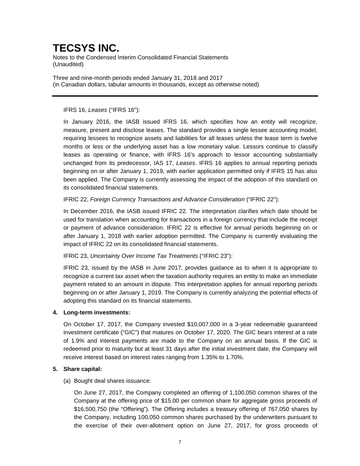Notes to the Condensed Interim Consolidated Financial Statements (Unaudited)

Three and nine-month periods ended January 31, 2018 and 2017 (in Canadian dollars, tabular amounts in thousands, except as otherwise noted)

### IFRS 16, *Leases* ("IFRS 16"):

In January 2016, the IASB issued IFRS 16, which specifies how an entity will recognize, measure, present and disclose leases. The standard provides a single lessee accounting model, requiring lessees to recognize assets and liabilities for all leases unless the lease term is twelve months or less or the underlying asset has a low monetary value. Lessors continue to classify leases as operating or finance, with IFRS 16's approach to lessor accounting substantially unchanged from its predecessor, IAS 17, *Leases*. IFRS 16 applies to annual reporting periods beginning on or after January 1, 2019, with earlier application permitted only if IFRS 15 has also been applied. The Company is currently assessing the impact of the adoption of this standard on its consolidated financial statements.

IFRIC 22, *Foreign Currency Transactions and Advance Consideration* ("IFRIC 22"):

In December 2016, the IASB issued IFRIC 22. The interpretation clarifies which date should be used for translation when accounting for transactions in a foreign currency that include the receipt or payment of advance consideration. IFRIC 22 is effective for annual periods beginning on or after January 1, 2018 with earlier adoption permitted. The Company is currently evaluating the impact of IFRIC 22 on its consolidated financial statements.

### IFRIC 23, *Uncertainty Over Income Tax Treatments* ("IFRIC 23"):

IFRIC 23, issued by the IASB in June 2017, provides guidance as to when it is appropriate to recognize a current tax asset when the taxation authority requires an entity to make an immediate payment related to an amount in dispute. This interpretation applies for annual reporting periods beginning on or after January 1, 2019. The Company is currently analyzing the potential effects of adopting this standard on its financial statements.

### **4. Long-term investments:**

On October 17, 2017, the Company invested \$10,007,000 in a 3-year redeemable guaranteed investment certificate ("GIC") that matures on October 17, 2020. The GIC bears interest at a rate of 1.9% and interest payments are made to the Company on an annual basis. If the GIC is redeemed prior to maturity but at least 31 days after the initial investment date, the Company will receive interest based on interest rates ranging from 1.35% to 1.70%.

### **5. Share capital:**

(a) Bought deal shares issuance:

On June 27, 2017, the Company completed an offering of 1,100,050 common shares of the Company at the offering price of \$15.00 per common share for aggregate gross proceeds of \$16,500,750 (the "Offering"). The Offering includes a treasury offering of 767,050 shares by the Company, including 100,050 common shares purchased by the underwriters pursuant to the exercise of their over-allotment option on June 27, 2017, for gross proceeds of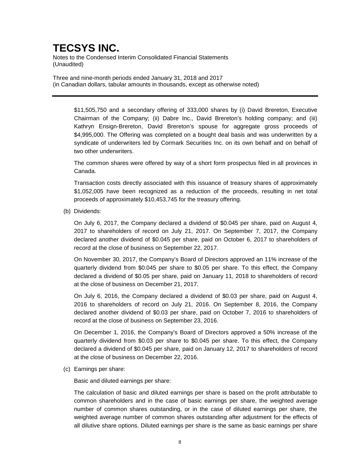Notes to the Condensed Interim Consolidated Financial Statements (Unaudited)

Three and nine-month periods ended January 31, 2018 and 2017 (in Canadian dollars, tabular amounts in thousands, except as otherwise noted)

\$11,505,750 and a secondary offering of 333,000 shares by (i) David Brereton, Executive Chairman of the Company; (ii) Dabre Inc., David Brereton's holding company; and (iii) Kathryn Ensign-Brereton, David Brereton's spouse for aggregate gross proceeds of \$4,995,000. The Offering was completed on a bought deal basis and was underwritten by a syndicate of underwriters led by Cormark Securities Inc. on its own behalf and on behalf of two other underwriters.

The common shares were offered by way of a short form prospectus filed in all provinces in Canada.

Transaction costs directly associated with this issuance of treasury shares of approximately \$1,052,005 have been recognized as a reduction of the proceeds, resulting in net total proceeds of approximately \$10,453,745 for the treasury offering.

(b) Dividends:

On July 6, 2017, the Company declared a dividend of \$0.045 per share, paid on August 4, 2017 to shareholders of record on July 21, 2017. On September 7, 2017, the Company declared another dividend of \$0.045 per share, paid on October 6, 2017 to shareholders of record at the close of business on September 22, 2017.

On November 30, 2017, the Company's Board of Directors approved an 11% increase of the quarterly dividend from \$0.045 per share to \$0.05 per share. To this effect, the Company declared a dividend of \$0.05 per share, paid on January 11, 2018 to shareholders of record at the close of business on December 21, 2017.

On July 6, 2016, the Company declared a dividend of \$0.03 per share, paid on August 4, 2016 to shareholders of record on July 21, 2016. On September 8, 2016, the Company declared another dividend of \$0.03 per share, paid on October 7, 2016 to shareholders of record at the close of business on September 23, 2016.

On December 1, 2016, the Company's Board of Directors approved a 50% increase of the quarterly dividend from \$0.03 per share to \$0.045 per share. To this effect, the Company declared a dividend of \$0.045 per share, paid on January 12, 2017 to shareholders of record at the close of business on December 22, 2016.

(c) Earnings per share:

Basic and diluted earnings per share:

The calculation of basic and diluted earnings per share is based on the profit attributable to common shareholders and in the case of basic earnings per share, the weighted average number of common shares outstanding, or in the case of diluted earnings per share, the weighted average number of common shares outstanding after adjustment for the effects of all dilutive share options. Diluted earnings per share is the same as basic earnings per share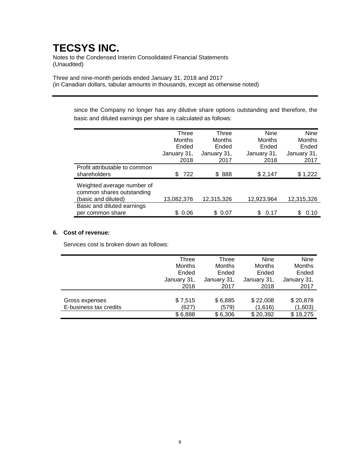Notes to the Condensed Interim Consolidated Financial Statements (Unaudited)

Three and nine-month periods ended January 31, 2018 and 2017 (in Canadian dollars, tabular amounts in thousands, except as otherwise noted)

> since the Company no longer has any dilutive share options outstanding and therefore, the basic and diluted earnings per share is calculated as follows:

|                                                                                | Three<br><b>Months</b><br>Ended<br>January 31, | Three<br>Months<br>Ended<br>January 31, | Nine<br><b>Months</b><br>Ended<br>January 31, | <b>Nine</b><br>Months<br>Ended<br>January 31, |
|--------------------------------------------------------------------------------|------------------------------------------------|-----------------------------------------|-----------------------------------------------|-----------------------------------------------|
|                                                                                | 2018                                           | 2017                                    | 2018                                          | 2017                                          |
| Profit attributable to common<br>shareholders                                  | 722<br>\$                                      | \$888                                   | \$2,147                                       | \$1,222                                       |
| Weighted average number of<br>common shares outstanding<br>(basic and diluted) | 13,082,376                                     | 12,315,326                              | 12,923,964                                    | 12,315,326                                    |
| Basic and diluted earnings<br>per common share                                 | 0.06<br>\$.                                    | \$ 0.07                                 | 0.17                                          | 0.10                                          |

### **6. Cost of revenue:**

Services cost is broken down as follows:

|                        | Three       | Three       | <b>Nine</b>   | <b>Nine</b> |
|------------------------|-------------|-------------|---------------|-------------|
|                        | Months      | Months      | <b>Months</b> | Months      |
|                        | Ended       | Ended       | Ended         | Ended       |
|                        | January 31, | January 31, | January 31,   | January 31, |
|                        | 2018        | 2017        | 2018          | 2017        |
|                        |             |             |               |             |
| Gross expenses         | \$7,515     | \$6,885     | \$22,008      | \$20,878    |
| E-business tax credits | (627)       | (579)       | (1,616)       | (1,603)     |
|                        | \$6,888     | \$6,306     | \$20,392      | \$19,275    |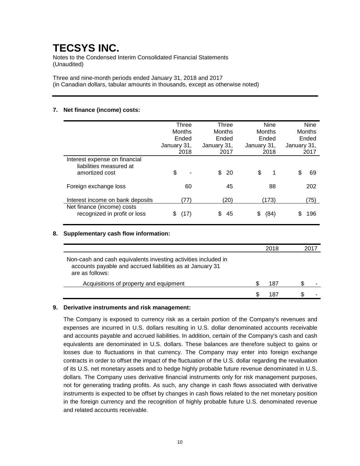Notes to the Condensed Interim Consolidated Financial Statements (Unaudited)

Three and nine-month periods ended January 31, 2018 and 2017 (in Canadian dollars, tabular amounts in thousands, except as otherwise noted)

### **7. Net finance (income) costs:**

|                                                                            | Three<br><b>Months</b><br>Ended<br>January 31,<br>2018 | Three<br>Months<br>Ended<br>January 31,<br>2017 | <b>Nine</b><br>Months<br>Ended<br>January 31,<br>2018 | <b>Nine</b><br>Months<br>Ended<br>January 31,<br>2017 |
|----------------------------------------------------------------------------|--------------------------------------------------------|-------------------------------------------------|-------------------------------------------------------|-------------------------------------------------------|
| Interest expense on financial<br>liabilities measured at<br>amortized cost | \$                                                     | \$<br>-20                                       | \$<br>1                                               | 69<br>S                                               |
| Foreign exchange loss                                                      | 60                                                     | 45                                              | 88                                                    | 202                                                   |
| Interest income on bank deposits                                           | (77)                                                   | (20)                                            | (173)                                                 | (75)                                                  |
| Net finance (income) costs<br>recognized in profit or loss                 | (17)                                                   | 45                                              | (84)<br>S                                             | 196                                                   |

#### **8. Supplementary cash flow information:**

|                                                                                                                                                | 2018 |  |  |
|------------------------------------------------------------------------------------------------------------------------------------------------|------|--|--|
| Non-cash and cash equivalents investing activities included in<br>accounts payable and accrued liabilities as at January 31<br>are as follows: |      |  |  |
| Acquisitions of property and equipment                                                                                                         | 187  |  |  |
|                                                                                                                                                | 187  |  |  |

### **9. Derivative instruments and risk management:**

The Company is exposed to currency risk as a certain portion of the Company's revenues and expenses are incurred in U.S. dollars resulting in U.S. dollar denominated accounts receivable and accounts payable and accrued liabilities. In addition, certain of the Company's cash and cash equivalents are denominated in U.S. dollars. These balances are therefore subject to gains or losses due to fluctuations in that currency. The Company may enter into foreign exchange contracts in order to offset the impact of the fluctuation of the U.S. dollar regarding the revaluation of its U.S. net monetary assets and to hedge highly probable future revenue denominated in U.S. dollars. The Company uses derivative financial instruments only for risk management purposes, not for generating trading profits. As such, any change in cash flows associated with derivative instruments is expected to be offset by changes in cash flows related to the net monetary position in the foreign currency and the recognition of highly probable future U.S. denominated revenue and related accounts receivable.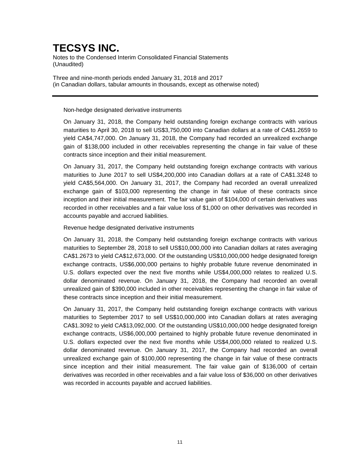Notes to the Condensed Interim Consolidated Financial Statements (Unaudited)

Three and nine-month periods ended January 31, 2018 and 2017 (in Canadian dollars, tabular amounts in thousands, except as otherwise noted)

#### Non-hedge designated derivative instruments

On January 31, 2018, the Company held outstanding foreign exchange contracts with various maturities to April 30, 2018 to sell US\$3,750,000 into Canadian dollars at a rate of CA\$1.2659 to yield CA\$4,747,000. On January 31, 2018, the Company had recorded an unrealized exchange gain of \$138,000 included in other receivables representing the change in fair value of these contracts since inception and their initial measurement.

On January 31, 2017, the Company held outstanding foreign exchange contracts with various maturities to June 2017 to sell US\$4,200,000 into Canadian dollars at a rate of CA\$1.3248 to yield CA\$5,564,000. On January 31, 2017, the Company had recorded an overall unrealized exchange gain of \$103,000 representing the change in fair value of these contracts since inception and their initial measurement. The fair value gain of \$104,000 of certain derivatives was recorded in other receivables and a fair value loss of \$1,000 on other derivatives was recorded in accounts payable and accrued liabilities.

### Revenue hedge designated derivative instruments

On January 31, 2018, the Company held outstanding foreign exchange contracts with various maturities to September 28, 2018 to sell US\$10,000,000 into Canadian dollars at rates averaging CA\$1.2673 to yield CA\$12,673,000. Of the outstanding US\$10,000,000 hedge designated foreign exchange contracts, US\$6,000,000 pertains to highly probable future revenue denominated in U.S. dollars expected over the next five months while US\$4,000,000 relates to realized U.S. dollar denominated revenue. On January 31, 2018, the Company had recorded an overall unrealized gain of \$390,000 included in other receivables representing the change in fair value of these contracts since inception and their initial measurement.

On January 31, 2017, the Company held outstanding foreign exchange contracts with various maturities to September 2017 to sell US\$10,000,000 into Canadian dollars at rates averaging CA\$1.3092 to yield CA\$13,092,000. Of the outstanding US\$10,000,000 hedge designated foreign exchange contracts, US\$6,000,000 pertained to highly probable future revenue denominated in U.S. dollars expected over the next five months while US\$4,000,000 related to realized U.S. dollar denominated revenue. On January 31, 2017, the Company had recorded an overall unrealized exchange gain of \$100,000 representing the change in fair value of these contracts since inception and their initial measurement. The fair value gain of \$136,000 of certain derivatives was recorded in other receivables and a fair value loss of \$36,000 on other derivatives was recorded in accounts payable and accrued liabilities.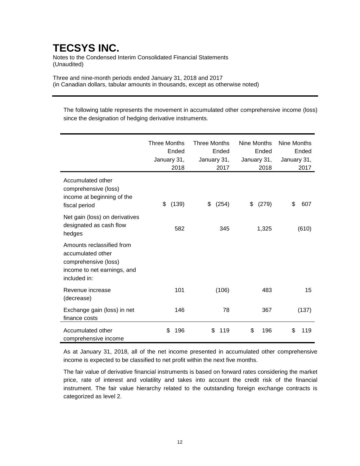Notes to the Condensed Interim Consolidated Financial Statements (Unaudited)

Three and nine-month periods ended January 31, 2018 and 2017 (in Canadian dollars, tabular amounts in thousands, except as otherwise noted)

The following table represents the movement in accumulated other comprehensive income (loss) since the designation of hedging derivative instruments.

|                                                                                                                       | <b>Three Months</b><br>Ended<br>January 31,<br>2018 | <b>Three Months</b><br>Ended<br>January 31,<br>2017 | Nine Months<br>Ended<br>January 31,<br>2018 | Nine Months<br>Ended<br>January 31,<br>2017 |
|-----------------------------------------------------------------------------------------------------------------------|-----------------------------------------------------|-----------------------------------------------------|---------------------------------------------|---------------------------------------------|
| Accumulated other<br>comprehensive (loss)<br>income at beginning of the<br>fiscal period                              | (139)<br>\$                                         | \$<br>(254)                                         | (279)<br>\$                                 | \$<br>607                                   |
| Net gain (loss) on derivatives<br>designated as cash flow<br>hedges                                                   | 582                                                 | 345                                                 | 1,325                                       | (610)                                       |
| Amounts reclassified from<br>accumulated other<br>comprehensive (loss)<br>income to net earnings, and<br>included in: |                                                     |                                                     |                                             |                                             |
| Revenue increase<br>(decrease)                                                                                        | 101                                                 | (106)                                               | 483                                         | 15                                          |
| Exchange gain (loss) in net<br>finance costs                                                                          | 146                                                 | 78                                                  | 367                                         | (137)                                       |
| Accumulated other<br>comprehensive income                                                                             | \$<br>196                                           | \$<br>119                                           | \$<br>196                                   | \$<br>119                                   |

As at January 31, 2018, all of the net income presented in accumulated other comprehensive income is expected to be classified to net profit within the next five months.

The fair value of derivative financial instruments is based on forward rates considering the market price, rate of interest and volatility and takes into account the credit risk of the financial instrument. The fair value hierarchy related to the outstanding foreign exchange contracts is categorized as level 2.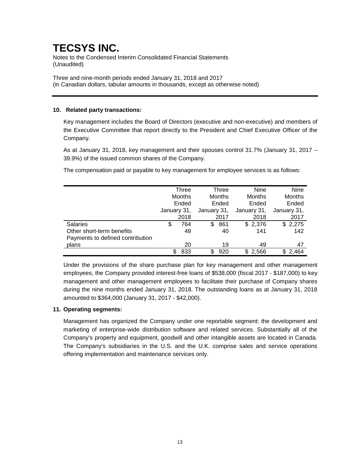Notes to the Condensed Interim Consolidated Financial Statements (Unaudited)

Three and nine-month periods ended January 31, 2018 and 2017 (in Canadian dollars, tabular amounts in thousands, except as otherwise noted)

### **10. Related party transactions:**

Key management includes the Board of Directors (executive and non-executive) and members of the Executive Committee that report directly to the President and Chief Executive Officer of the Company.

As at January 31, 2018, key management and their spouses control 31.7% (January 31, 2017 – 39.9%) of the issued common shares of the Company.

The compensation paid or payable to key management for employee services is as follows:

|                                  | Three<br>Months<br>Ended<br>January 31, |      |                                       | Three |             | <b>Nine</b>   |     | Nine          |
|----------------------------------|-----------------------------------------|------|---------------------------------------|-------|-------------|---------------|-----|---------------|
|                                  |                                         |      | <b>Months</b><br>Ended<br>January 31, |       |             | <b>Months</b> |     | <b>Months</b> |
|                                  |                                         |      |                                       |       |             | Ended         |     | Ended         |
|                                  |                                         |      |                                       |       | January 31, |               |     | January 31,   |
|                                  |                                         | 2018 |                                       | 2017  |             | 2018          |     | 2017          |
| <b>Salaries</b>                  | \$                                      | 764  | S                                     | 861   |             | \$2,376       |     | \$2,275       |
| Other short-term benefits        |                                         | 49   |                                       | 40    |             | 141           |     | 142           |
| Payments to defined contribution |                                         |      |                                       |       |             |               |     |               |
| plans                            |                                         | 20   |                                       | 19    |             | 49            |     | 47            |
|                                  | S                                       | 833  |                                       | 920   | \$.         | 2.566         | \$. | 2.464         |

Under the provisions of the share purchase plan for key management and other management employees, the Company provided interest-free loans of \$538,000 (fiscal 2017 - \$187,000) to key management and other management employees to facilitate their purchase of Company shares during the nine months ended January 31, 2018. The outstanding loans as at January 31, 2018 amounted to \$364,000 (January 31, 2017 - \$42,000).

### **11. Operating segments:**

Management has organized the Company under one reportable segment: the development and marketing of enterprise-wide distribution software and related services. Substantially all of the Company's property and equipment, goodwill and other intangible assets are located in Canada. The Company's subsidiaries in the U.S. and the U.K. comprise sales and service operations offering implementation and maintenance services only.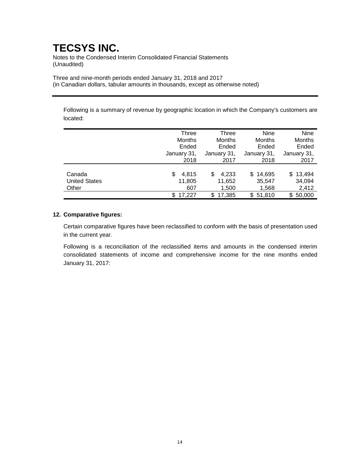Notes to the Condensed Interim Consolidated Financial Statements (Unaudited)

Three and nine-month periods ended January 31, 2018 and 2017 (in Canadian dollars, tabular amounts in thousands, except as otherwise noted)

Following is a summary of revenue by geographic location in which the Company's customers are located:

|                      | Three         | Three         | <b>Nine</b>   | Nine          |
|----------------------|---------------|---------------|---------------|---------------|
|                      | <b>Months</b> | Months        | <b>Months</b> | Months        |
|                      | Ended         | Ended         | Ended         | Ended         |
|                      | January 31,   | January 31,   | January 31,   | January 31,   |
|                      | 2018          | 2017          | 2018          | 2017          |
|                      |               |               |               |               |
| Canada               | \$<br>4.815   | 4,233<br>S    | \$14,695      | \$13,494      |
| <b>United States</b> | 11,805        | 11,652        | 35,547        | 34,094        |
| Other                | 607           | 1,500         | 1,568         | 2,412         |
|                      | 17.227<br>\$  | 17.385<br>\$. | 51,810<br>S   | 50,000<br>\$. |

### **12. Comparative figures:**

Certain comparative figures have been reclassified to conform with the basis of presentation used in the current year.

Following is a reconciliation of the reclassified items and amounts in the condensed interim consolidated statements of income and comprehensive income for the nine months ended January 31, 2017: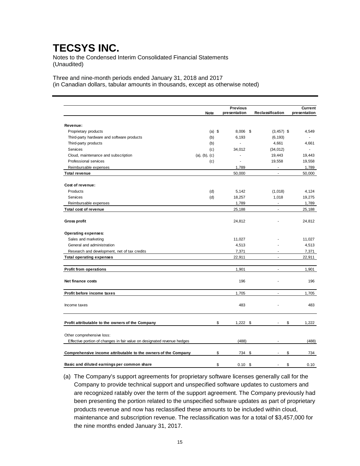Notes to the Condensed Interim Consolidated Financial Statements (Unaudited)

Three and nine-month periods ended January 31, 2018 and 2017 (in Canadian dollars, tabular amounts in thousands, except as otherwise noted)

|                                                                         |               |             | <b>Previous</b>         |                  | <b>Current</b> |
|-------------------------------------------------------------------------|---------------|-------------|-------------------------|------------------|----------------|
|                                                                         |               | <b>Note</b> | presentation            | Reclassification | presentation   |
| Revenue:                                                                |               |             |                         |                  |                |
| Proprietary products                                                    |               | $(a)$ \$    | 8,006 \$                | $(3,457)$ \$     | 4,549          |
| Third-party hardware and software products                              |               | (b)         | 6,193                   | (6, 193)         |                |
| Third-party products                                                    |               | (b)         | ÷,                      | 4,661            | 4,661          |
| Services                                                                |               | (c)         | 34,012                  | (34, 012)        |                |
| Cloud, maintenance and subscription                                     | (a), (b), (c) |             | ä,                      | 19,443           | 19,443         |
| Professional services                                                   |               | (c)         | $\overline{a}$          | 19,558           | 19,558         |
| Reimbursable expenses                                                   |               |             | 1,789                   | $\blacksquare$   | 1,789          |
| <b>Total revenue</b>                                                    |               |             | 50,000                  | $\sim$           | 50,000         |
|                                                                         |               |             |                         |                  |                |
| Cost of revenue:                                                        |               |             |                         |                  |                |
| Products                                                                |               | (d)         | 5,142                   | (1,018)          | 4,124          |
| Services                                                                |               | (d)         | 18,257                  | 1,018            | 19,275         |
| Reimbursable expenses                                                   |               |             | 1,789                   | $\blacksquare$   | 1,789          |
| Total cost of revenue                                                   |               |             | 25,188                  | $\mathbf{r}$     | 25,188         |
| <b>Gross profit</b>                                                     |               |             | 24,812                  |                  | 24,812         |
| <b>Operating expenses:</b>                                              |               |             |                         |                  |                |
| Sales and marketing                                                     |               |             | 11,027                  |                  | 11,027         |
| General and administration                                              |               |             | 4,513                   |                  | 4,513          |
| Research and development, net of tax credits                            |               |             | 7,371                   | ÷                | 7,371          |
| <b>Total operating expenses</b>                                         |               |             | 22,911                  | $\overline{a}$   | 22,911         |
| <b>Profit from operations</b>                                           |               |             | 1,901                   | ÷.               | 1,901          |
| Net finance costs                                                       |               |             | 196                     |                  | 196            |
| Profit before income taxes                                              |               |             | 1,705                   | $\overline{a}$   | 1,705          |
| Income taxes                                                            |               |             | 483                     |                  | 483            |
|                                                                         |               |             |                         |                  |                |
| Profit attributable to the owners of the Company                        |               |             | \$<br>$1,222$ \$        |                  | \$<br>1,222    |
| Other comprehensive loss:                                               |               |             |                         |                  |                |
| Effective portion of changes in fair value on designated revenue hedges |               |             | (488)                   |                  | (488)          |
| Comprehensive income attributable to the owners of the Company          |               |             | \$<br>734 \$            |                  | \$<br>734      |
| Basic and diluted earnings per common share                             |               |             | \$<br>0.10 <sup>5</sup> |                  | \$<br>0.10     |

(a) The Company's support agreements for proprietary software licenses generally call for the Company to provide technical support and unspecified software updates to customers and are recognized ratably over the term of the support agreement. The Company previously had been presenting the portion related to the unspecified software updates as part of proprietary products revenue and now has reclassified these amounts to be included within cloud, maintenance and subscription revenue. The reclassification was for a total of \$3,457,000 for the nine months ended January 31, 2017.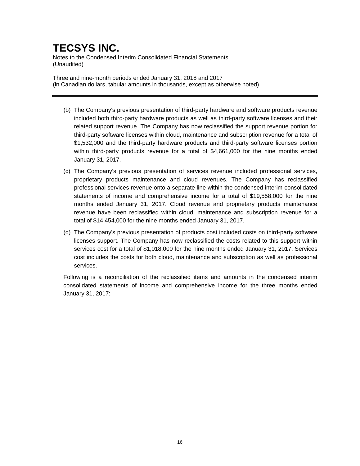Notes to the Condensed Interim Consolidated Financial Statements (Unaudited)

Three and nine-month periods ended January 31, 2018 and 2017 (in Canadian dollars, tabular amounts in thousands, except as otherwise noted)

- (b) The Company's previous presentation of third-party hardware and software products revenue included both third-party hardware products as well as third-party software licenses and their related support revenue. The Company has now reclassified the support revenue portion for third-party software licenses within cloud, maintenance and subscription revenue for a total of \$1,532,000 and the third-party hardware products and third-party software licenses portion within third-party products revenue for a total of \$4,661,000 for the nine months ended January 31, 2017.
- (c) The Company's previous presentation of services revenue included professional services, proprietary products maintenance and cloud revenues. The Company has reclassified professional services revenue onto a separate line within the condensed interim consolidated statements of income and comprehensive income for a total of \$19,558,000 for the nine months ended January 31, 2017. Cloud revenue and proprietary products maintenance revenue have been reclassified within cloud, maintenance and subscription revenue for a total of \$14,454,000 for the nine months ended January 31, 2017.
- (d) The Company's previous presentation of products cost included costs on third-party software licenses support. The Company has now reclassified the costs related to this support within services cost for a total of \$1,018,000 for the nine months ended January 31, 2017. Services cost includes the costs for both cloud, maintenance and subscription as well as professional services.

Following is a reconciliation of the reclassified items and amounts in the condensed interim consolidated statements of income and comprehensive income for the three months ended January 31, 2017: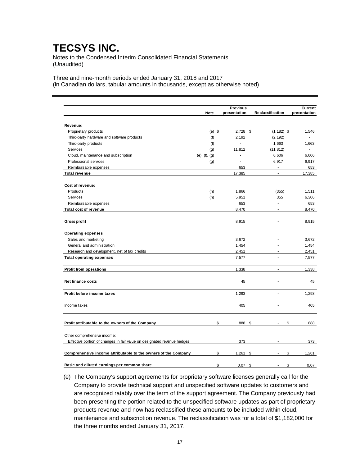Notes to the Condensed Interim Consolidated Financial Statements (Unaudited)

Three and nine-month periods ended January 31, 2018 and 2017 (in Canadian dollars, tabular amounts in thousands, except as otherwise noted)

|                                                                         |                       | <b>Previous</b> |                          |    |                          | <b>Current</b> |  |
|-------------------------------------------------------------------------|-----------------------|-----------------|--------------------------|----|--------------------------|----------------|--|
|                                                                         | <b>Note</b>           |                 | presentation             |    | Reclassification         | presentation   |  |
|                                                                         |                       |                 |                          |    |                          |                |  |
| Revenue:                                                                |                       |                 |                          |    |                          |                |  |
| Proprietary products                                                    |                       | $(e)$ \$        | $2,728$ \$               |    | $(1, 182)$ \$            | 1,546          |  |
| Third-party hardware and software products                              | (f)                   |                 | 2,192                    |    | (2, 192)                 |                |  |
| Third-party products                                                    | (f)                   |                 | L.                       |    | 1,663                    | 1,663          |  |
| Services                                                                | (g)                   |                 | 11,812                   |    | (11, 812)                |                |  |
| Cloud, maintenance and subscription                                     | $(e)$ , $(f)$ , $(g)$ |                 |                          |    | 6,606                    | 6,606          |  |
| Professional services                                                   | (g)                   |                 | $\overline{\phantom{a}}$ |    | 6,917                    | 6,917          |  |
| Reimbursable expenses                                                   |                       |                 | 653                      |    | $\overline{\phantom{a}}$ | 653            |  |
| <b>Total revenue</b>                                                    |                       |                 | 17,385                   |    | $\blacksquare$           | 17,385         |  |
| Cost of revenue:                                                        |                       |                 |                          |    |                          |                |  |
| Products                                                                | (h)                   |                 | 1,866                    |    | (355)                    | 1,511          |  |
| Services                                                                | (h)                   |                 | 5,951                    |    | 355                      | 6,306          |  |
| Reimbursable expenses                                                   |                       |                 | 653                      |    | ÷.                       | 653            |  |
| Total cost of revenue                                                   |                       |                 | 8,470                    |    | $\mathbf{r}$             | 8,470          |  |
| <b>Gross profit</b>                                                     |                       |                 | 8,915                    |    |                          | 8,915          |  |
| Operating expenses:                                                     |                       |                 |                          |    |                          |                |  |
| Sales and marketing                                                     |                       |                 | 3,672                    |    |                          | 3,672          |  |
| General and administration                                              |                       |                 | 1,454                    |    |                          | 1,454          |  |
| Research and development, net of tax credits                            |                       |                 | 2,451                    |    | ÷.                       | 2,451          |  |
| <b>Total operating expenses</b>                                         |                       |                 | 7,577                    |    | ÷                        | 7,577          |  |
| <b>Profit from operations</b>                                           |                       |                 | 1,338                    |    | $\overline{a}$           | 1,338          |  |
| Net finance costs                                                       |                       |                 | 45                       |    |                          | 45             |  |
| Profit before income taxes                                              |                       |                 | 1,293                    |    | ÷.                       | 1,293          |  |
| Income taxes                                                            |                       |                 | 405                      |    |                          | 405            |  |
| Profit attributable to the owners of the Company                        |                       | \$              | 888                      | \$ |                          | \$<br>888      |  |
| Other comprehensive income:                                             |                       |                 |                          |    |                          |                |  |
| Effective portion of changes in fair value on designated revenue hedges |                       |                 | 373                      |    |                          | 373            |  |
| Comprehensive income attributable to the owners of the Company          |                       | \$              | 1,261                    | \$ |                          | \$<br>1,261    |  |
| Basic and diluted earnings per common share                             |                       | \$              | $0.07$ \$                |    |                          | \$<br>0.07     |  |

(e) The Company's support agreements for proprietary software licenses generally call for the Company to provide technical support and unspecified software updates to customers and are recognized ratably over the term of the support agreement. The Company previously had been presenting the portion related to the unspecified software updates as part of proprietary products revenue and now has reclassified these amounts to be included within cloud, maintenance and subscription revenue. The reclassification was for a total of \$1,182,000 for the three months ended January 31, 2017.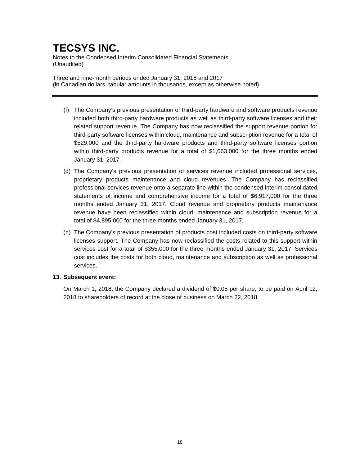Notes to the Condensed Interim Consolidated Financial Statements (Unaudited)

Three and nine-month periods ended January 31, 2018 and 2017 (in Canadian dollars, tabular amounts in thousands, except as otherwise noted)

- (f) The Company's previous presentation of third-party hardware and software products revenue included both third-party hardware products as well as third-party software licenses and their related support revenue. The Company has now reclassified the support revenue portion for third-party software licenses within cloud, maintenance and subscription revenue for a total of \$529,000 and the third-party hardware products and third-party software licenses portion within third-party products revenue for a total of \$1,663,000 for the three months ended January 31, 2017.
- (g) The Company's previous presentation of services revenue included professional services, proprietary products maintenance and cloud revenues. The Company has reclassified professional services revenue onto a separate line within the condensed interim consolidated statements of income and comprehensive income for a total of \$6,917,000 for the three months ended January 31, 2017. Cloud revenue and proprietary products maintenance revenue have been reclassified within cloud, maintenance and subscription revenue for a total of \$4,895,000 for the three months ended January 31, 2017.
- (h) The Company's previous presentation of products cost included costs on third-party software licenses support. The Company has now reclassified the costs related to this support within services cost for a total of \$355,000 for the three months ended January 31, 2017. Services cost includes the costs for both cloud, maintenance and subscription as well as professional services.

#### **13. Subsequent event:**

On March 1, 2018, the Company declared a dividend of \$0.05 per share, to be paid on April 12, 2018 to shareholders of record at the close of business on March 22, 2018.